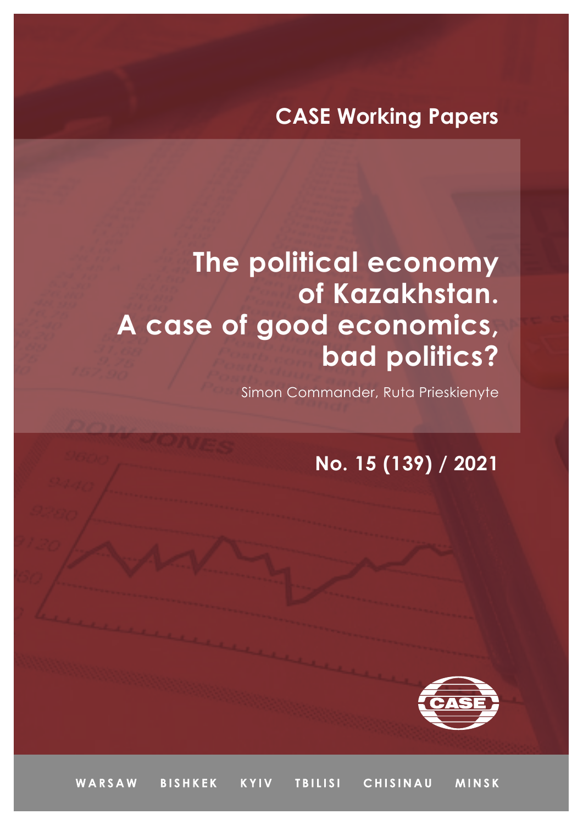## **CASE Working Papers**

## **The political economy of Kazakhstan. A case of good economics, bad politics?**

Simon Commander, Ruta Prieskienyte

## **No. 15 (139) / 2021**



WARSAW **BISHKEK KYIV TBILISI** CHISINAU **MINSK**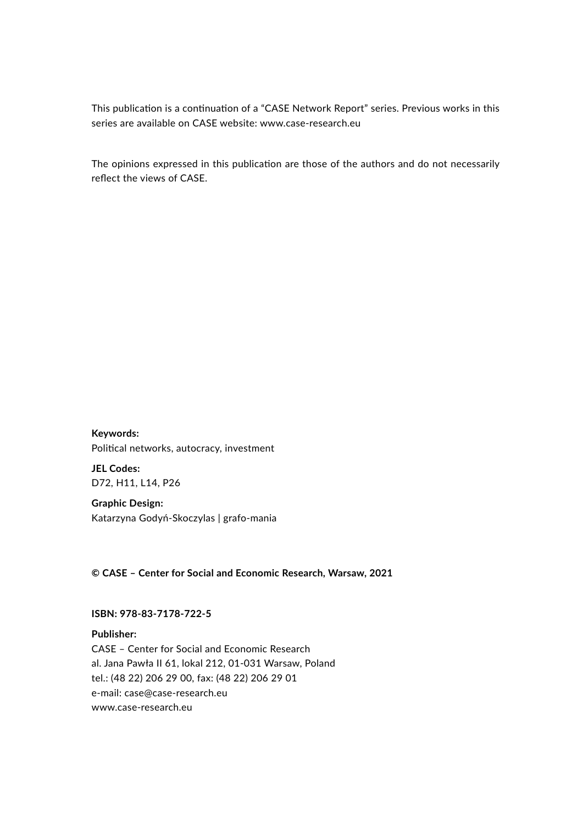This publication is a continuation of a "CASE Network Report" series. Previous works in this series are available on CASE website: www.case-research.eu

The opinions expressed in this publication are those of the authors and do not necessarily reflect the views of CASE.

**Keywords:** Political networks, autocracy, investment

**JEL Codes:** D72, H11, L14, P26

**Graphic Design:** Katarzyna Godyń-Skoczylas | grafo-mania

**© CASE – Center for Social and Economic Research, Warsaw, 2021**

**ISBN: 978-83-7178-722-5**

**Publisher:** CASE – Center for Social and Economic Research al. Jana Pawła II 61, lokal 212, 01-031 Warsaw, Poland tel.: (48 22) 206 29 00, fax: (48 22) 206 29 01 e-mail: case@[case-research.eu](http://case-research.eu) [www.case-research.eu](http://www.case-research.eu)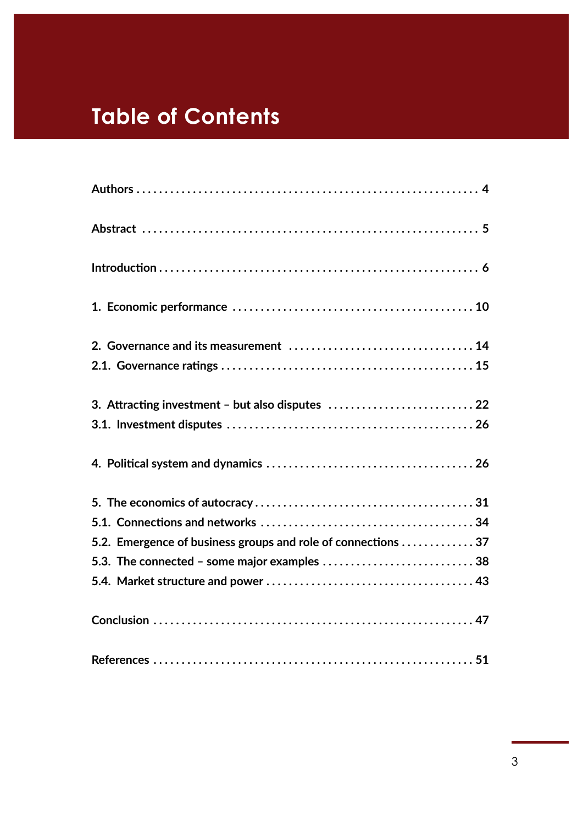## **Table of Contents**

| 3. Attracting investment - but also disputes  22              |
|---------------------------------------------------------------|
|                                                               |
|                                                               |
|                                                               |
|                                                               |
| 5.2. Emergence of business groups and role of connections  37 |
|                                                               |
|                                                               |
|                                                               |
|                                                               |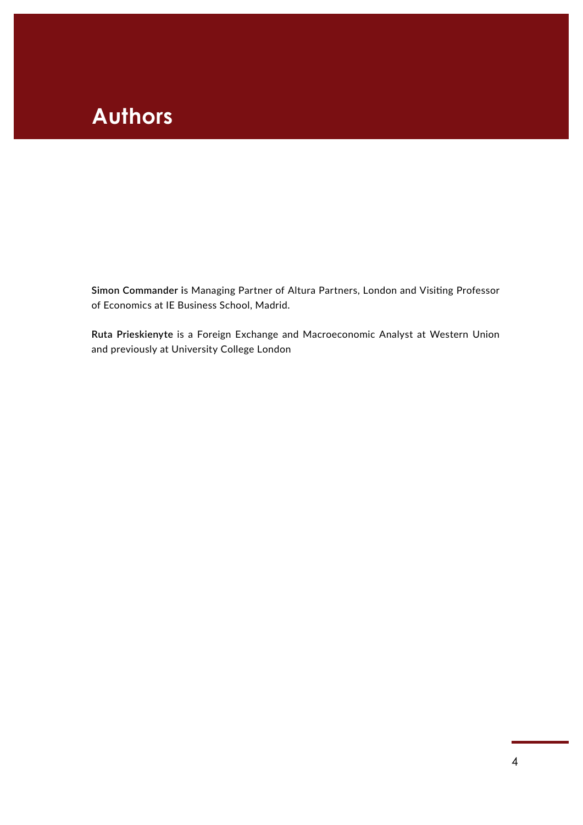## **Authors**

**Simon Commander i**s Managing Partner of Altura Partners, London and Visiting Professor of Economics at IE Business School, Madrid.

**Ruta Prieskienyte** is a Foreign Exchange and Macroeconomic Analyst at Western Union and previously at University College London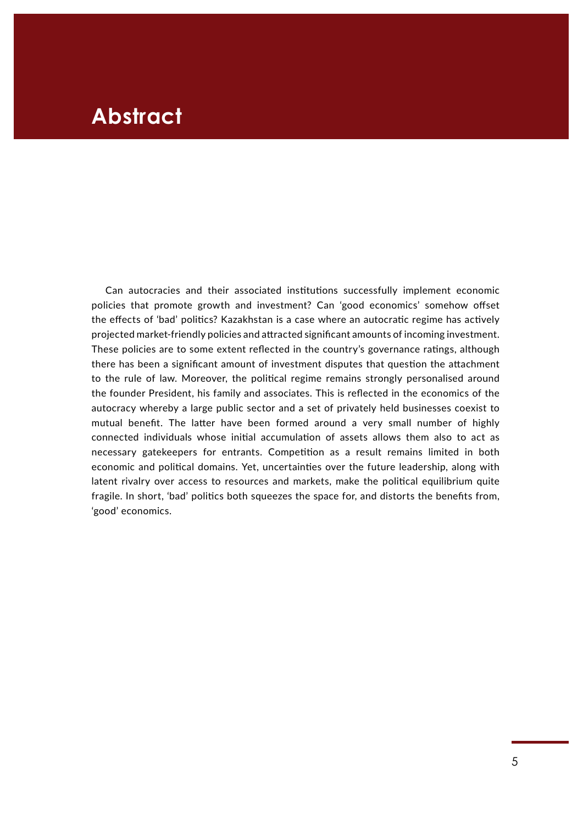## **Abstract**

Can autocracies and their associated institutions successfully implement economic policies that promote growth and investment? Can 'good economics' somehow offset the effects of 'bad' politics? Kazakhstan is a case where an autocratic regime has actively projected market-friendly policies and attracted significant amounts of incoming investment. These policies are to some extent reflected in the country's governance ratings, although there has been a significant amount of investment disputes that question the attachment to the rule of law. Moreover, the political regime remains strongly personalised around the founder President, his family and associates. This is reflected in the economics of the autocracy whereby a large public sector and a set of privately held businesses coexist to mutual benefit. The latter have been formed around a very small number of highly connected individuals whose initial accumulation of assets allows them also to act as necessary gatekeepers for entrants. Competition as a result remains limited in both economic and political domains. Yet, uncertainties over the future leadership, along with latent rivalry over access to resources and markets, make the political equilibrium quite fragile. In short, 'bad' politics both squeezes the space for, and distorts the benefits from, 'good' economics.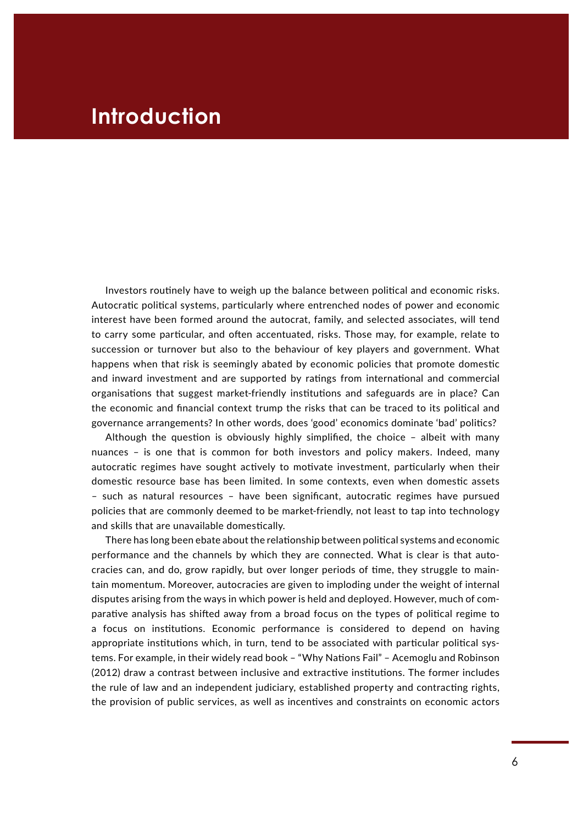## **Introduction**

Investors routinely have to weigh up the balance between political and economic risks. Autocratic political systems, particularly where entrenched nodes of power and economic interest have been formed around the autocrat, family, and selected associates, will tend to carry some particular, and often accentuated, risks. Those may, for example, relate to succession or turnover but also to the behaviour of key players and government. What happens when that risk is seemingly abated by economic policies that promote domestic and inward investment and are supported by ratings from international and commercial organisations that suggest market-friendly institutions and safeguards are in place? Can the economic and financial context trump the risks that can be traced to its political and governance arrangements? In other words, does 'good' economics dominate 'bad' politics?

Although the question is obviously highly simplified, the choice – albeit with many nuances – is one that is common for both investors and policy makers. Indeed, many autocratic regimes have sought actively to motivate investment, particularly when their domestic resource base has been limited. In some contexts, even when domestic assets – such as natural resources – have been significant, autocratic regimes have pursued policies that are commonly deemed to be market-friendly, not least to tap into technology and skills that are unavailable domestically.

There has long been ebate about the relationship between political systems and economic performance and the channels by which they are connected. What is clear is that autocracies can, and do, grow rapidly, but over longer periods of time, they struggle to maintain momentum. Moreover, autocracies are given to imploding under the weight of internal disputes arising from the ways in which power is held and deployed. However, much of comparative analysis has shifted away from a broad focus on the types of political regime to a focus on institutions. Economic performance is considered to depend on having appropriate institutions which, in turn, tend to be associated with particular political systems. For example, in their widely read book – "Why Nations Fail" – Acemoglu and Robinson (2012) draw a contrast between inclusive and extractive institutions. The former includes the rule of law and an independent judiciary, established property and contracting rights, the provision of public services, as well as incentives and constraints on economic actors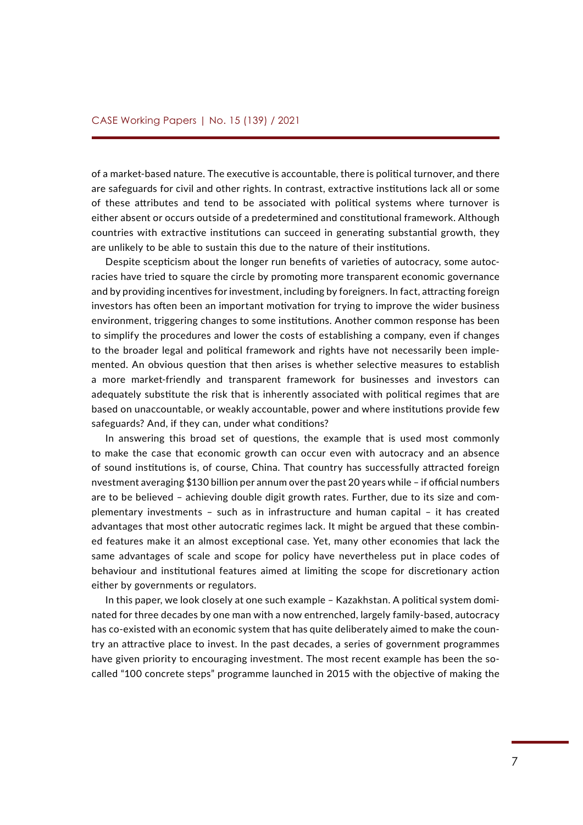of a market-based nature. The executive is accountable, there is political turnover, and there are safeguards for civil and other rights. In contrast, extractive institutions lack all or some of these attributes and tend to be associated with political systems where turnover is either absent or occurs outside of a predetermined and constitutional framework. Although countries with extractive institutions can succeed in generating substantial growth, they are unlikely to be able to sustain this due to the nature of their institutions.

Despite scepticism about the longer run benefits of varieties of autocracy, some autocracies have tried to square the circle by promoting more transparent economic governance and by providing incentives for investment, including by foreigners. In fact, attracting foreign investors has often been an important motivation for trying to improve the wider business environment, triggering changes to some institutions. Another common response has been to simplify the procedures and lower the costs of establishing a company, even if changes to the broader legal and political framework and rights have not necessarily been implemented. An obvious question that then arises is whether selective measures to establish a more market-friendly and transparent framework for businesses and investors can adequately substitute the risk that is inherently associated with political regimes that are based on unaccountable, or weakly accountable, power and where institutions provide few safeguards? And, if they can, under what conditions?

In answering this broad set of questions, the example that is used most commonly to make the case that economic growth can occur even with autocracy and an absence of sound institutions is, of course, China. That country has successfully attracted foreign nvestment averaging \$130 billion per annum over the past 20 years while – if official numbers are to be believed – achieving double digit growth rates. Further, due to its size and complementary investments – such as in infrastructure and human capital – it has created advantages that most other autocratic regimes lack. It might be argued that these combined features make it an almost exceptional case. Yet, many other economies that lack the same advantages of scale and scope for policy have nevertheless put in place codes of behaviour and institutional features aimed at limiting the scope for discretionary action either by governments or regulators.

In this paper, we look closely at one such example – Kazakhstan. A political system dominated for three decades by one man with a now entrenched, largely family-based, autocracy has co-existed with an economic system that has quite deliberately aimed to make the country an attractive place to invest. In the past decades, a series of government programmes have given priority to encouraging investment. The most recent example has been the socalled "100 concrete steps" programme launched in 2015 with the objective of making the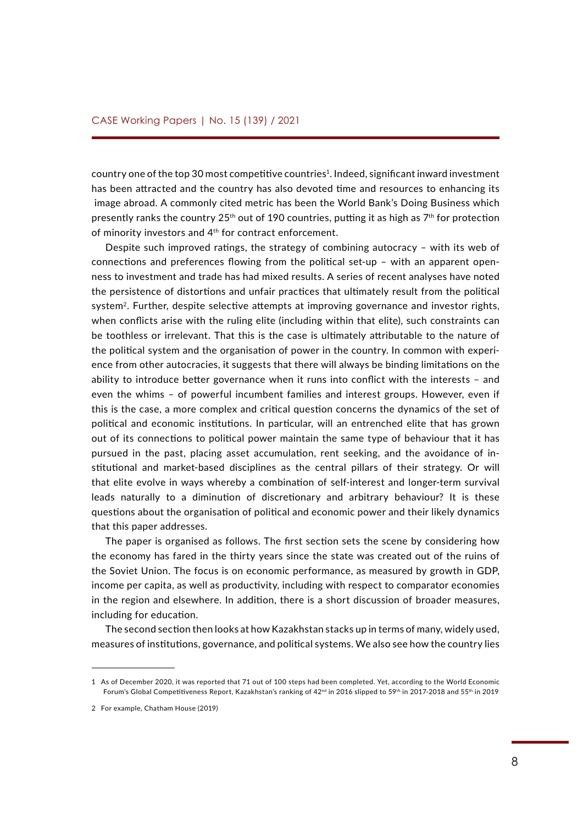country one of the top 30 most competitive countries<sup>1</sup>. Indeed, significant inward investment has been attracted and the country has also devoted time and resources to enhancing its image abroad. A commonly cited metric has been the World Bank's Doing Business which presently ranks the country  $25<sup>th</sup>$  out of 190 countries, putting it as high as  $7<sup>th</sup>$  for protection of minority investors and 4<sup>th</sup> for contract enforcement.

Despite such improved ratings, the strategy of combining autocracy – with its web of connections and preferences flowing from the political set-up – with an apparent openness to investment and trade has had mixed results. A series of recent analyses have noted the persistence of distortions and unfair practices that ultimately result from the political system<sup>2</sup>. Further, despite selective attempts at improving governance and investor rights, when conflicts arise with the ruling elite (including within that elite), such constraints can be toothless or irrelevant. That this is the case is ultimately attributable to the nature of the political system and the organisation of power in the country. In common with experience from other autocracies, it suggests that there will always be binding limitations on the ability to introduce better governance when it runs into conflict with the interests – and even the whims – of powerful incumbent families and interest groups. However, even if this is the case, a more complex and critical question concerns the dynamics of the set of political and economic institutions. In particular, will an entrenched elite that has grown out of its connections to political power maintain the same type of behaviour that it has pursued in the past, placing asset accumulation, rent seeking, and the avoidance of institutional and market-based disciplines as the central pillars of their strategy. Or will that elite evolve in ways whereby a combination of self-interest and longer-term survival leads naturally to a diminution of discretionary and arbitrary behaviour? It is these questions about the organisation of political and economic power and their likely dynamics that this paper addresses.

The paper is organised as follows. The first section sets the scene by considering how the economy has fared in the thirty years since the state was created out of the ruins of the Soviet Union. The focus is on economic performance, as measured by growth in GDP, income per capita, as well as productivity, including with respect to comparator economies in the region and elsewhere. In addition, there is a short discussion of broader measures, including for education.

The second section then looks at how Kazakhstan stacks up in terms of many, widely used, measures of institutions, governance, and political systems. We also see how the country lies

<sup>1</sup> As of December 2020, it was reported that 71 out of 100 steps had been completed. Yet, according to the World Economic Forum's Global Competitiveness Report, Kazakhstan's ranking of 42<sup>nd</sup> in 2016 slipped to 59<sup>th</sup> in 2017-2018 and 55<sup>th</sup> in 2019

<sup>2</sup> For example, Chatham House (2019)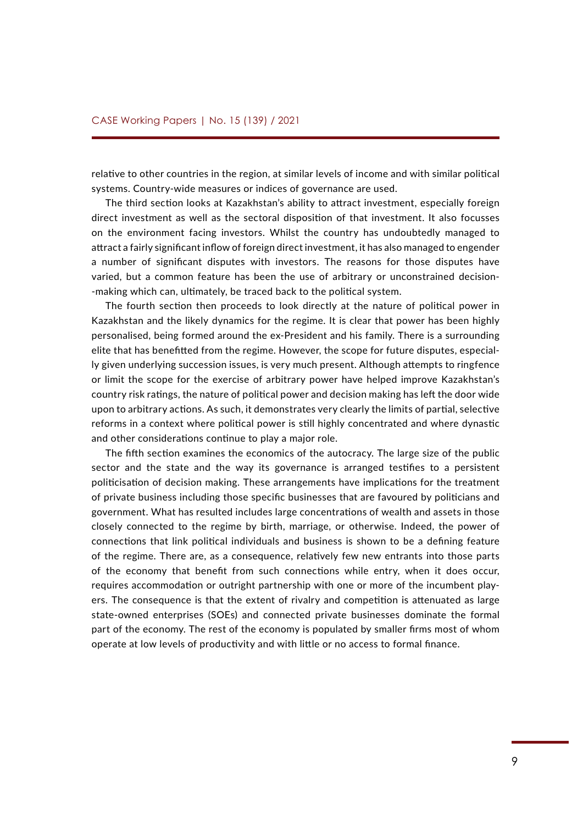relative to other countries in the region, at similar levels of income and with similar political systems. Country-wide measures or indices of governance are used.

The third section looks at Kazakhstan's ability to attract investment, especially foreign direct investment as well as the sectoral disposition of that investment. It also focusses on the environment facing investors. Whilst the country has undoubtedly managed to attract a fairly significant inflow of foreign direct investment, it has also managed to engender a number of significant disputes with investors. The reasons for those disputes have varied, but a common feature has been the use of arbitrary or unconstrained decision- -making which can, ultimately, be traced back to the political system.

The fourth section then proceeds to look directly at the nature of political power in Kazakhstan and the likely dynamics for the regime. It is clear that power has been highly personalised, being formed around the ex-President and his family. There is a surrounding elite that has benefitted from the regime. However, the scope for future disputes, especially given underlying succession issues, is very much present. Although attempts to ringfence or limit the scope for the exercise of arbitrary power have helped improve Kazakhstan's country risk ratings, the nature of political power and decision making has left the door wide upon to arbitrary actions. As such, it demonstrates very clearly the limits of partial, selective reforms in a context where political power is still highly concentrated and where dynastic and other considerations continue to play a major role.

The fifth section examines the economics of the autocracy. The large size of the public sector and the state and the way its governance is arranged testifies to a persistent politicisation of decision making. These arrangements have implications for the treatment of private business including those specific businesses that are favoured by politicians and government. What has resulted includes large concentrations of wealth and assets in those closely connected to the regime by birth, marriage, or otherwise. Indeed, the power of connections that link political individuals and business is shown to be a defining feature of the regime. There are, as a consequence, relatively few new entrants into those parts of the economy that benefit from such connections while entry, when it does occur, requires accommodation or outright partnership with one or more of the incumbent players. The consequence is that the extent of rivalry and competition is attenuated as large state-owned enterprises (SOEs) and connected private businesses dominate the formal part of the economy. The rest of the economy is populated by smaller firms most of whom operate at low levels of productivity and with little or no access to formal finance.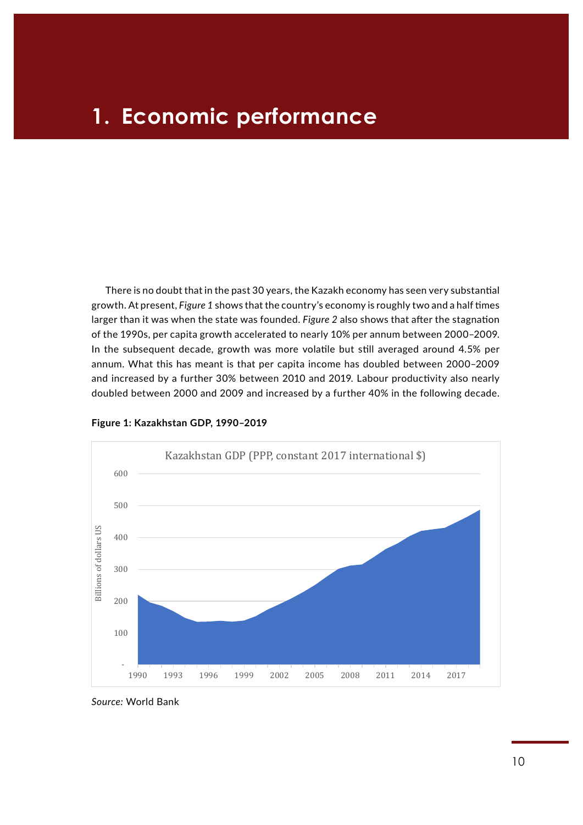## **1. Economic performance**

There is no doubt that in the past 30 years, the Kazakh economy has seen very substantial growth. At present, *Figure 1* shows that the country's economy is roughly two and a half times larger than it was when the state was founded. *Figure 2* also shows that after the stagnation of the 1990s, per capita growth accelerated to nearly 10% per annum between 2000–2009. In the subsequent decade, growth was more volatile but still averaged around 4.5% per annum. What this has meant is that per capita income has doubled between 2000–2009 and increased by a further 30% between 2010 and 2019. Labour productivity also nearly **Figures and Tables** doubled between 2000 and 2009 and increased by a further 40% in the following decade.



**Figure 1: Kazakhstan GDP, 1990–2019**  *Figure 1: Kazakhstan GDP, 1990-2019*

*Source:* World Bank Source: World Bank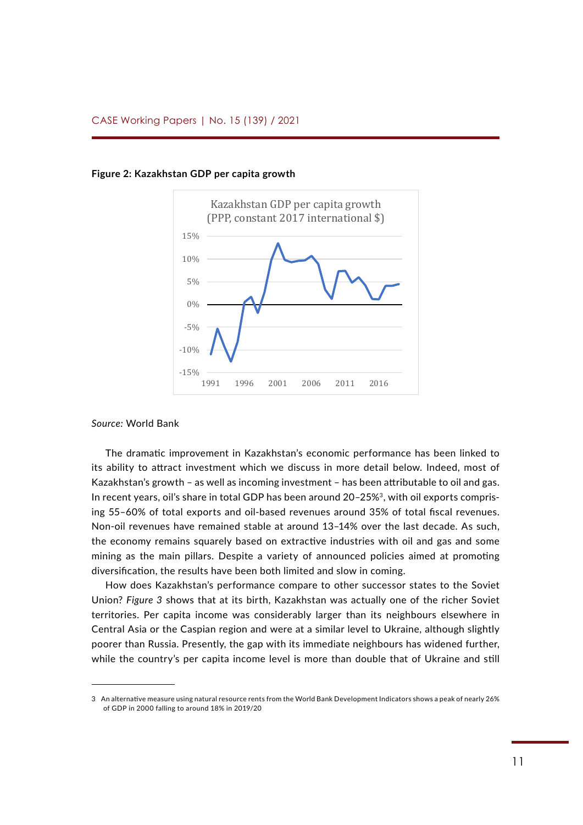

**Figure 2: Kazakhstan GDP per capita growth** *Figure 2: Kazakhstan GDP per capita growth*

### *Source:* World Bank

The dramatic improvement in Kazakhstan's economic performance has been linked to its ability to attract investment which we discuss in more detail below. Indeed, most of Kazakhstan's growth – as well as incoming investment – has been attributable to oil and gas. In recent years, oil's share in total GDP has been around 20-25%<sup>3</sup>, with oil exports comprising 55–60% of total exports and oil-based revenues around 35% of total fiscal revenues. Non-oil revenues have remained stable at around 13–14% over the last decade. As such, the economy remains squarely based on extractive industries with oil and gas and some mining as the main pillars. Despite a variety of announced policies aimed at promoting diversification, the results have been both limited and slow in coming.

How does Kazakhstan's performance compare to other successor states to the Soviet Union? *Figure 3* shows that at its birth, Kazakhstan was actually one of the richer Soviet territories. Per capita income was considerably larger than its neighbours elsewhere in Central Asia or the Caspian region and were at a similar level to Ukraine, although slightly poorer than Russia. Presently, the gap with its immediate neighbours has widened further, while the country's per capita income level is more than double that of Ukraine and still

<sup>3</sup> An alternative measure using natural resource rents from the World Bank Development Indicators shows a peak of nearly 26% of GDP in 2000 falling to around 18% in 2019/20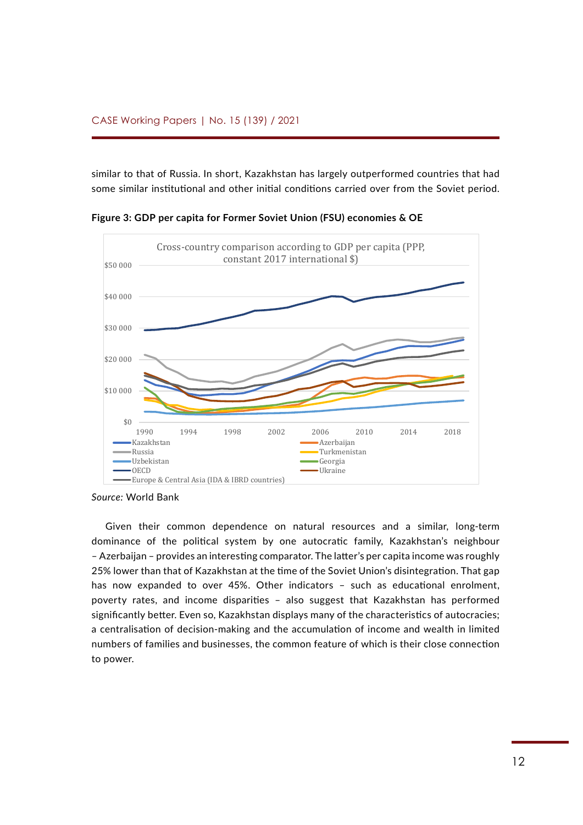similar to that of Russia. In short, Kazakhstan has largely outperformed countries that had some similar institutional and other initial conditions carried over from the Soviet period.



**Figure 3: GDP per capita for Former Soviet Union (FSU) economies & OE** *Figure 3: GDP per capita for Former Soviet Union (FSU) economies & OECD*

*Source:* World Bank Source: World Bank

Given their common dependence on natural resources and a similar, long-term dominance of the political system by one autocratic family, Kazakhstan's neighbour Rule of law indicators for Kazakshtan – Azerbaijan – provides an interesting comparator. The latter's per capita income was roughly 25% lower than that of Kazakhstan at the time of the Soviet Union's disintegration. That gap 100 has now expanded to over 45%. Other indicators - such as educational enrolment, poverty rates, and income disparities - also suggest that Kazakhstan has performed significantly better. Even so, Kazakhstan displays many of the characteristics of autocracies; 70 a centralisation of decision-making and the accumulation of income and wealth in limited numbers of families and businesses, the common feature of which is their close connection to power. d 59 as performance) to 110 km<br>grad performance<br>definition performance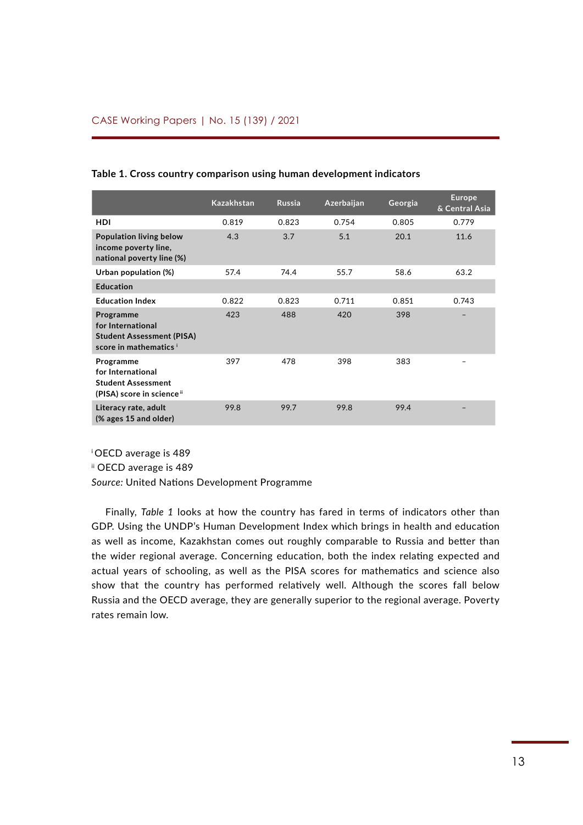|                                                                                              | <b>Kazakhstan</b> | <b>Russia</b> | Azerbaijan | Georgia | <b>Europe</b><br>& Central Asia |
|----------------------------------------------------------------------------------------------|-------------------|---------------|------------|---------|---------------------------------|
| <b>HDI</b>                                                                                   | 0.819             | 0.823         | 0.754      | 0.805   | 0.779                           |
| <b>Population living below</b><br>income poverty line,<br>national poverty line (%)          | 4.3               | 3.7           | 5.1        | 20.1    | 11.6                            |
| Urban population (%)                                                                         | 57.4              | 74.4          | 55.7       | 58.6    | 63.2                            |
| <b>Education</b>                                                                             |                   |               |            |         |                                 |
| <b>Education Index</b>                                                                       | 0.822             | 0.823         | 0.711      | 0.851   | 0.743                           |
| Programme<br>for International<br><b>Student Assessment (PISA)</b><br>score in mathematics i | 423               | 488           | 420        | 398     |                                 |
| Programme<br>for International<br><b>Student Assessment</b><br>(PISA) score in science ii    | 397               | 478           | 398        | 383     |                                 |
| Literacy rate, adult<br>$(X)$ ages 15 and older)                                             | 99.8              | 99.7          | 99.8       | 99.4    |                                 |

### **Table 1. Cross country comparison using human development indicators**

<sup>i</sup>OECD average is 489

ii OECD average is 489

*Source:* United Nations Development Programme

Finally, *Table 1* looks at how the country has fared in terms of indicators other than GDP. Using the UNDP's Human Development Index which brings in health and education as well as income, Kazakhstan comes out roughly comparable to Russia and better than the wider regional average. Concerning education, both the index relating expected and actual years of schooling, as well as the PISA scores for mathematics and science also show that the country has performed relatively well. Although the scores fall below Russia and the OECD average, they are generally superior to the regional average. Poverty rates remain low.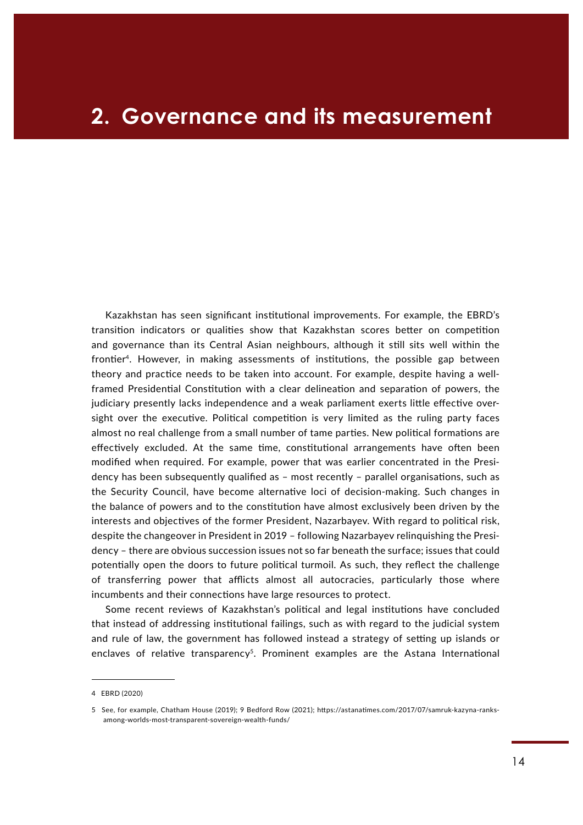## **2. Governance and its measurement**

Kazakhstan has seen significant institutional improvements. For example, the EBRD's transition indicators or qualities show that Kazakhstan scores better on competition and governance than its Central Asian neighbours, although it still sits well within the frontier4. However, in making assessments of institutions, the possible gap between theory and practice needs to be taken into account. For example, despite having a wellframed Presidential Constitution with a clear delineation and separation of powers, the judiciary presently lacks independence and a weak parliament exerts little effective oversight over the executive. Political competition is very limited as the ruling party faces almost no real challenge from a small number of tame parties. New political formations are effectively excluded. At the same time, constitutional arrangements have often been modified when required. For example, power that was earlier concentrated in the Presidency has been subsequently qualified as – most recently – parallel organisations, such as the Security Council, have become alternative loci of decision-making. Such changes in the balance of powers and to the constitution have almost exclusively been driven by the interests and objectives of the former President, Nazarbayev. With regard to political risk, despite the changeover in President in 2019 – following Nazarbayev relinquishing the Presidency – there are obvious succession issues not so far beneath the surface; issues that could potentially open the doors to future political turmoil. As such, they reflect the challenge of transferring power that afflicts almost all autocracies, particularly those where incumbents and their connections have large resources to protect.

Some recent reviews of Kazakhstan's political and legal institutions have concluded that instead of addressing institutional failings, such as with regard to the judicial system and rule of law, the government has followed instead a strategy of setting up islands or enclaves of relative transparency<sup>5</sup>. Prominent examples are the Astana International

<sup>4</sup> EBRD (2020)

<sup>5</sup> See, for example, Chatham House (2019); 9 Bedford Row (2021); [https://astanatimes.com/2017/07/samruk-kazyna-ranks](https://astanatimes.com/2017/07/samruk-kazyna-ranks-among-worlds-most-transparent-sovereign-wealth-funds/)[among-worlds-most-transparent-sovereign-wealth-funds/](https://astanatimes.com/2017/07/samruk-kazyna-ranks-among-worlds-most-transparent-sovereign-wealth-funds/)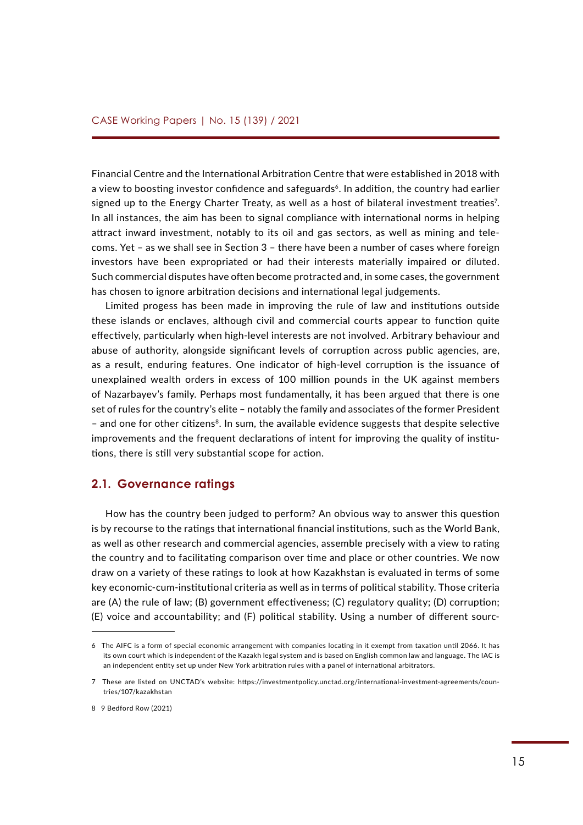Financial Centre and the International Arbitration Centre that were established in 2018 with a view to boosting investor confidence and safeguards<sup>6</sup>. In addition, the country had earlier signed up to the Energy Charter Treaty, as well as a host of bilateral investment treaties<sup>7</sup>. In all instances, the aim has been to signal compliance with international norms in helping attract inward investment, notably to its oil and gas sectors, as well as mining and telecoms. Yet – as we shall see in Section 3 – there have been a number of cases where foreign investors have been expropriated or had their interests materially impaired or diluted. Such commercial disputes have often become protracted and, in some cases, the government has chosen to ignore arbitration decisions and international legal judgements.

Limited progess has been made in improving the rule of law and institutions outside these islands or enclaves, although civil and commercial courts appear to function quite effectively, particularly when high-level interests are not involved. Arbitrary behaviour and abuse of authority, alongside significant levels of corruption across public agencies, are, as a result, enduring features. One indicator of high-level corruption is the issuance of unexplained wealth orders in excess of 100 million pounds in the UK against members of Nazarbayev's family. Perhaps most fundamentally, it has been argued that there is one set of rules for the country's elite – notably the family and associates of the former President – and one for other citizens<sup>8</sup>. In sum, the available evidence suggests that despite selective improvements and the frequent declarations of intent for improving the quality of institutions, there is still very substantial scope for action.

### **2.1. Governance ratings**

How has the country been judged to perform? An obvious way to answer this question is by recourse to the ratings that international financial institutions, such as the World Bank, as well as other research and commercial agencies, assemble precisely with a view to rating the country and to facilitating comparison over time and place or other countries. We now draw on a variety of these ratings to look at how Kazakhstan is evaluated in terms of some key economic-cum-institutional criteria as well as in terms of political stability. Those criteria are (A) the rule of law; (B) government effectiveness; (C) regulatory quality; (D) corruption; (E) voice and accountability; and (F) political stability. Using a number of different sourc-

<sup>6</sup> The AIFC is a form of special economic arrangement with companies locating in it exempt from taxation until 2066. It has its own court which is independent of the Kazakh legal system and is based on English common law and language. The IAC is an independent entity set up under New York arbitration rules with a panel of international arbitrators.

<sup>7</sup> These are listed on UNCTAD's website: [https://investmentpolicy.unctad.org/international-investment-agreements/coun](https://investmentpolicy.unctad.org/international-investment-agreements/countries/107/kazakhstan)[tries/107/kazakhstan](https://investmentpolicy.unctad.org/international-investment-agreements/countries/107/kazakhstan)

<sup>8 9</sup> Bedford Row (2021)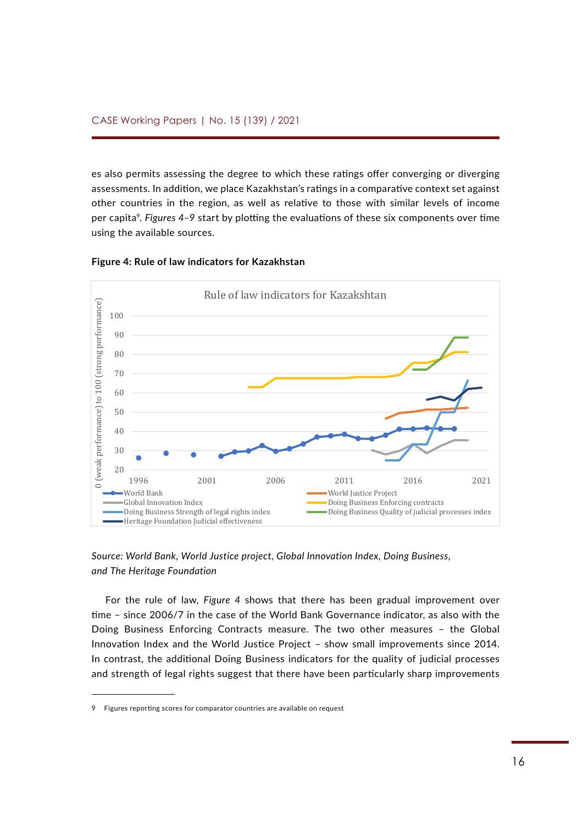es also permits assessing the degree to which these ratings offer converging or diverging assessments. In addition, we place Kazakhstan's ratings in a comparative context set against other countries in the region, as well as relative to those with similar levels of income per capita<sup>9</sup>. Figures 4–9 start by plotting the evaluations of these six components over time using the available sources. rits. In duurtion, we place Razakhstan statings in a compar Europe et countries) processing entre or



### **Figure 4: Rule of law indicators for Kazakhstan** *Figure 4: Rule of law indicators for Kazakhstan*

*Source: World Bank, World Justice project, Global Innovation Index, Doing Business, and The Heritage Foundation*

For the rule of law, *Figure 4* shows that there has been gradual improvement over time – since 2006/7 in the case of the World Bank Governance indicator, as also with the Doing Business Enforcing Contracts measure. The two other measures – the Global Innovation Index and the World Justice Project – show small improvements since 2014. In contrast, the additional Doing Business indicators for the quality of judicial processes and strength of legal rights suggest that there have been particularly sharp improvements

<sup>9</sup> Figures reporting scores for comparator countries are available on request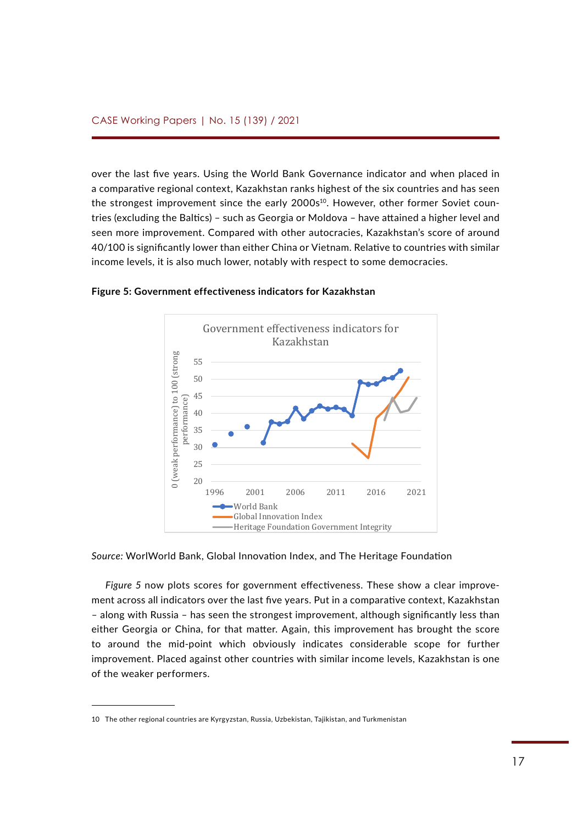over the last five years. Using the World Bank Governance indicator and when placed in a comparative regional context, Kazakhstan ranks highest of the six countries and has seen the strongest improvement since the early 2000s<sup>10</sup>. However, other former Soviet countries (excluding the Baltics) – such as Georgia or Moldova – have attained a higher level and seen more improvement. Compared with other autocracies, Kazakhstan's score of around 40/100 is significantly lower than either China or Vietnam. Relative to countries with similar income levels, it is also much lower, notably with respect to some democracies. Secretation Bank, World Bank, World Bank, World Justice project, Global Innovation Index, Doing Business, and The 40/100 is significa



**Figure 5: Government effectiveness indicators for Kazakhstan** *Figure 5: Government effectiveness indicators for Kazakhstan*

*Source:* WorlWorld Bank, Global Innovation Index, and The Heritage Foundation

*Figure 5* now plots scores for government effectiveness. These show a clear improvement across all indicators over the last five years. Put in a comparative context, Kazakhstan *Figure 6: Regulatory quality indicators for Kazakhstan* – along with Russia – has seen the strongest improvement, although significantly less than either Georgia or China, for that matter. Again, this improvement has brought the score to around the mid-point which obviously indicates considerable scope for further improvement. Placed against other countries with similar income levels, Kazakhstan is one of the weaker performers. t in  $C = 1$ 

<sup>10</sup> The other regional countries are Kyrgyzstan, Russia, Uzbekistan, Tajikistan, and Turkmenistan 70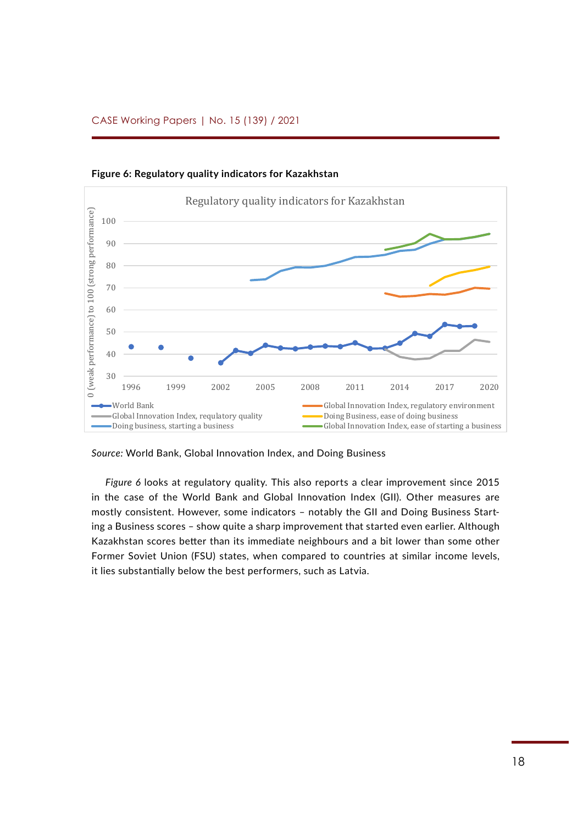

**Figure 6: Regulatory quality indicators for Kazakhstan** *Figure 6: Regulatory quality indicators for Kazakhstan*

*Source:* World Bank, Global Innovation Index, and Doing Business

*Figure 6* looks at regulatory quality. This also reports a clear improvement since 2015 in the case of the World Bank and Global Innovation Index (GII). Other measures are mostly consistent. However, some indicators – notably the GII and Doing Business Start-38 ing a Business scores – show quite a sharp improvement that started even earlier. Although Kazakhstan scores better than its immediate neighbours and a bit lower than some other Former Soviet Union (FSU) states, when compared to countries at similar income levels, it lies substantially below the best performers, such as Latvia.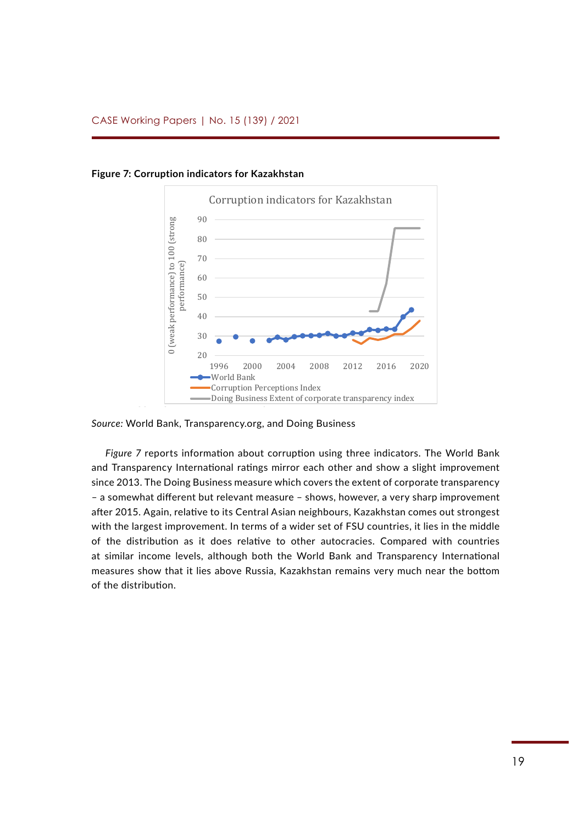

**Figure 7: Corruption indicators for Kazakhstan** *Figure 7: Corruption indicators for Kazakhstan*

*Source:* World Bank, Transparency.org, and Doing Business

*Figure 7* reports information about corruption using three indicators. The World Bank and Transparency International ratings mirror each other and show a slight improvement since 2013. The Doing Business measure which covers the extent of corporate transparency eddarptives and the setting of a somewhat different but relevant measure – shows, however, a very sharp improvement after 2015. Again, relative to its Central Asian neighbours, Kazakhstan comes out strongest with the largest improvement. In terms of a wider set of FSU countries, it lies in the middle of the distribution as it does relative to other autocracies. Compared with countries at similar income levels, although both the World Bank and Transparency International measures show that it lies above Russia, Kazakhstan remains very much near the bottom 34 of the distribution. e I<br>ha<br>n.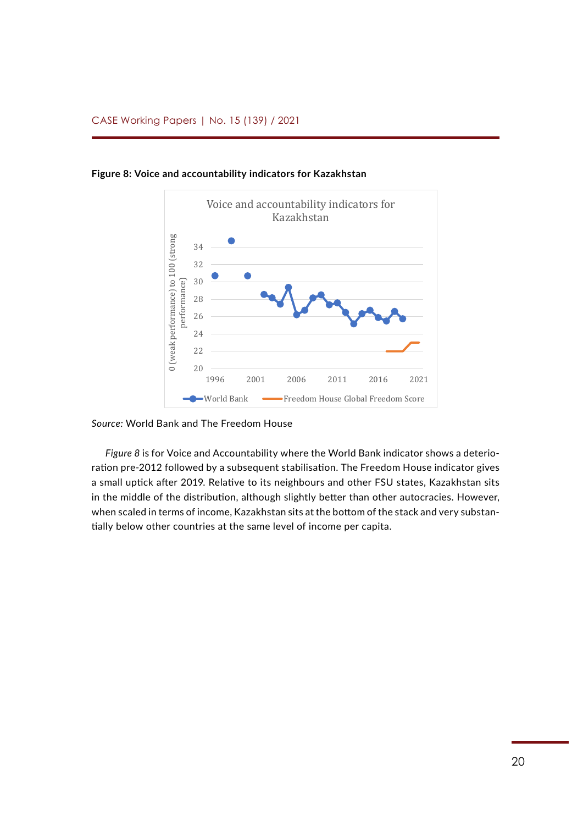

**Figure 8: Voice and accountability indicators for Kazakhstan** *Figure 8: Voice and accountability indicators for Kazakhstan*

### *Source:* World Bank and The Freedom House Sources: World Bank and The Freedom House

*Figure 8* is for Voice and Accountability where the World Bank indicator shows a deterioration pre-2012 followed by a subsequent stabilisation. The Freedom House indicator gives a small uptick after 2019. Relative to its neighbours and other FSU states, Kazakhstan sits in the middle of the distribution, although slightly better than other autocracies. However, when scaled in terms of income, Kazakhstan sits at the bottom of the stack and very substantially below other countries at the same level of income per capita.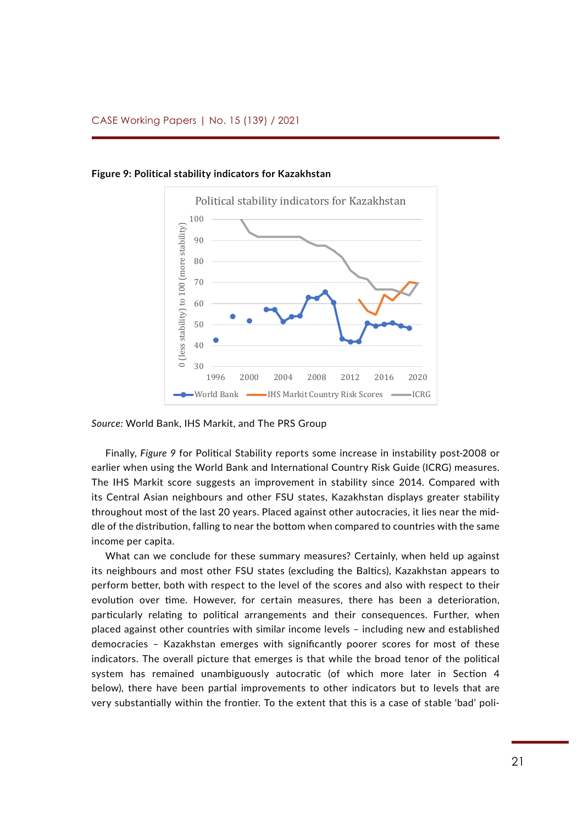

**Figure 9: Political stability indicators for Kazakhstan** *Figure 9: Political stability indicators for Kazakhstan*

*Source:* World Bank, IHS Markit, and The PRS Group

Finally, *Figure 9* for Political Stability reports some increase in instability post-2008 or earlier when using the World Bank and International Country Risk Guide (ICRG) measures. The IHS Markit score suggests an improvement in stability since 2014. Compared with its Central Asian neighbours and other FSU states, Kazakhstan displays greater stability throughout most of the last 20 years. Placed against other autocracies, it lies near the middle of the distribution, falling to near the bottom when compared to countries with the same income per capita.

What can we conclude for these summary measures? Certainly, when held up against its neighbours and most other FSU states (excluding the Baltics), Kazakhstan appears to perform better, both with respect to the level of the scores and also with respect to their 80% evolution over time. However, for certain measures, there has been a deterioration, particularly relating to political arrangements and their consequences. Further, when .<br>placed against other countries with similar income levels – including new and established .<br>democracies – Kazakhstan emerges with significantly poorer scores for most of these indicators. The overall picture that emerges is that while the broad tenor of the political system has remained unambiguously autocratic (of which more later in Section 4 below), there have been partial improvements to other indicators but to levels that are very substantially within the frontier. To the extent that this is a case of stable 'bad' poli-10%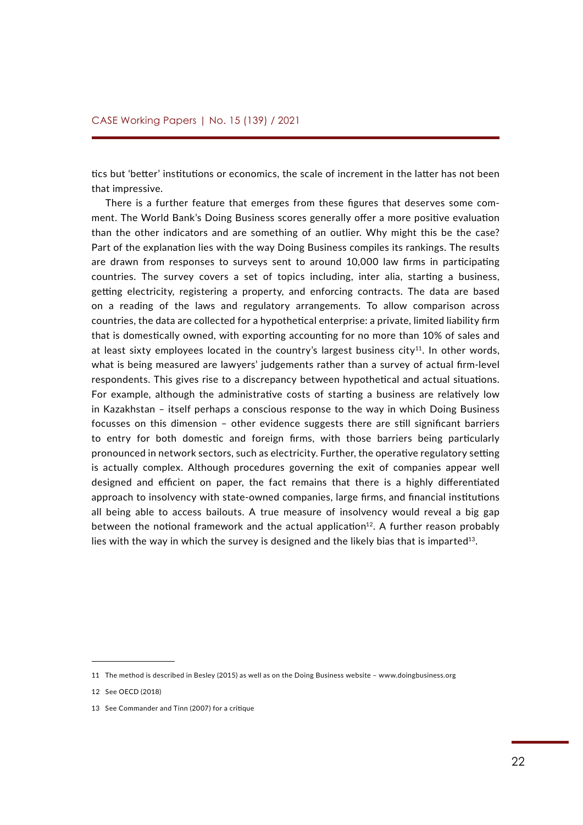tics but 'better' institutions or economics, the scale of increment in the latter has not been that impressive.

There is a further feature that emerges from these figures that deserves some comment. The World Bank's Doing Business scores generally offer a more positive evaluation than the other indicators and are something of an outlier. Why might this be the case? Part of the explanation lies with the way Doing Business compiles its rankings. The results are drawn from responses to surveys sent to around 10,000 law firms in participating countries. The survey covers a set of topics including, inter alia, starting a business, getting electricity, registering a property, and enforcing contracts. The data are based on a reading of the laws and regulatory arrangements. To allow comparison across countries, the data are collected for a hypothetical enterprise: a private, limited liability firm that is domestically owned, with exporting accounting for no more than 10% of sales and at least sixty employees located in the country's largest business  $city^{11}$ . In other words, what is being measured are lawyers' judgements rather than a survey of actual firm-level respondents. This gives rise to a discrepancy between hypothetical and actual situations. For example, although the administrative costs of starting a business are relatively low in Kazakhstan – itself perhaps a conscious response to the way in which Doing Business focusses on this dimension – other evidence suggests there are still significant barriers to entry for both domestic and foreign firms, with those barriers being particularly pronounced in network sectors, such as electricity. Further, the operative regulatory setting is actually complex. Although procedures governing the exit of companies appear well designed and efficient on paper, the fact remains that there is a highly differentiated approach to insolvency with state-owned companies, large firms, and financial institutions all being able to access bailouts. A true measure of insolvency would reveal a big gap between the notional framework and the actual application $12$ . A further reason probably lies with the way in which the survey is designed and the likely bias that is imparted<sup>13</sup>.

<sup>11</sup> The method is described in Besley (2015) as well as on the Doing Business website – www.doingbusiness.org

<sup>12</sup> See OECD (2018)

<sup>13</sup> See Commander and Tinn (2007) for a critique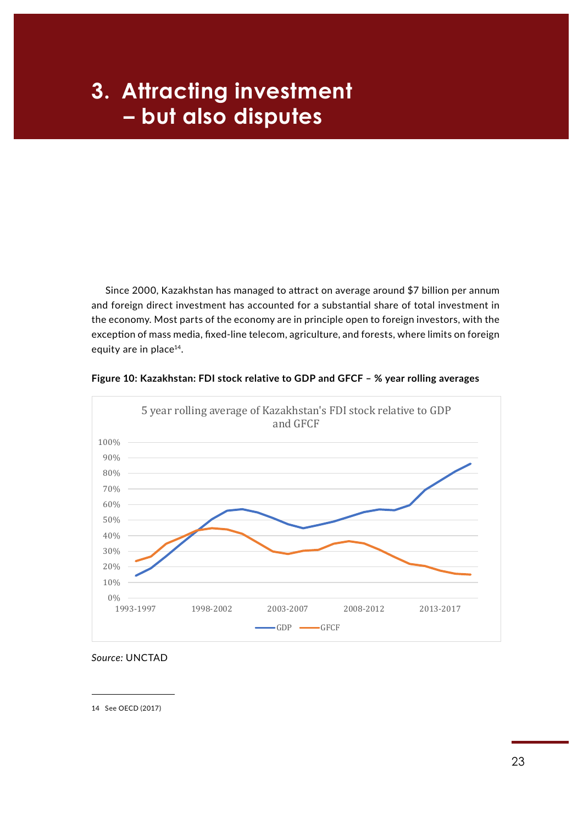# **Example 2 H**  $\blacksquare$  - but also disputes **3. Attracting investment** 100  $\mathbf{r}$

Since 2000, Kazakhstan has managed to attract on average around \$7 billion per annum and foreign direct investment has accounted for a substantial share of total investment in the economy. Most parts of the economy are in principle open to foreign investors, with the exception of mass media, fixed-line telecom, agriculture, and forests, where limits on foreign equity are in place<sup>14</sup>.

![](_page_22_Figure_2.jpeg)

![](_page_22_Figure_3.jpeg)

*Source:* UNCTAD Source: UNCTAD

14 See OECD (2017)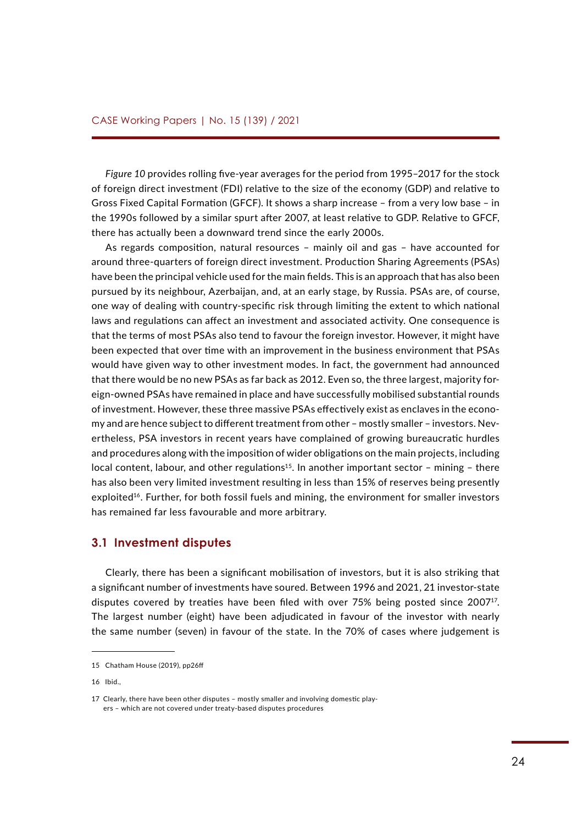*Figure 10* provides rolling five-year averages for the period from 1995–2017 for the stock of foreign direct investment (FDI) relative to the size of the economy (GDP) and relative to Gross Fixed Capital Formation (GFCF). It shows a sharp increase – from a very low base – in the 1990s followed by a similar spurt after 2007, at least relative to GDP. Relative to GFCF, there has actually been a downward trend since the early 2000s.

As regards composition, natural resources – mainly oil and gas – have accounted for around three-quarters of foreign direct investment. Production Sharing Agreements (PSAs) have been the principal vehicle used for the main fields. This is an approach that has also been pursued by its neighbour, Azerbaijan, and, at an early stage, by Russia. PSAs are, of course, one way of dealing with country-specific risk through limiting the extent to which national laws and regulations can affect an investment and associated activity. One consequence is that the terms of most PSAs also tend to favour the foreign investor. However, it might have been expected that over time with an improvement in the business environment that PSAs would have given way to other investment modes. In fact, the government had announced that there would be no new PSAs as far back as 2012. Even so, the three largest, majority foreign-owned PSAs have remained in place and have successfully mobilised substantial rounds of investment. However, these three massive PSAs effectively exist as enclaves in the economy and are hence subject to different treatment from other – mostly smaller – investors. Nevertheless, PSA investors in recent years have complained of growing bureaucratic hurdles and procedures along with the imposition of wider obligations on the main projects, including local content, labour, and other regulations<sup>15</sup>. In another important sector - mining - there has also been very limited investment resulting in less than 15% of reserves being presently exploited<sup>16</sup>. Further, for both fossil fuels and mining, the environment for smaller investors has remained far less favourable and more arbitrary.

### **3.1 Investment disputes**

Clearly, there has been a significant mobilisation of investors, but it is also striking that a significant number of investments have soured. Between 1996 and 2021, 21 investor-state disputes covered by treaties have been filed with over 75% being posted since 2007<sup>17</sup>. The largest number (eight) have been adjudicated in favour of the investor with nearly the same number (seven) in favour of the state. In the 70% of cases where judgement is

<sup>15</sup> Chatham House (2019), pp26ff

<sup>16</sup> Ibid.,

<sup>17</sup> Clearly, there have been other disputes – mostly smaller and involving domestic players – which are not covered under treaty-based disputes procedures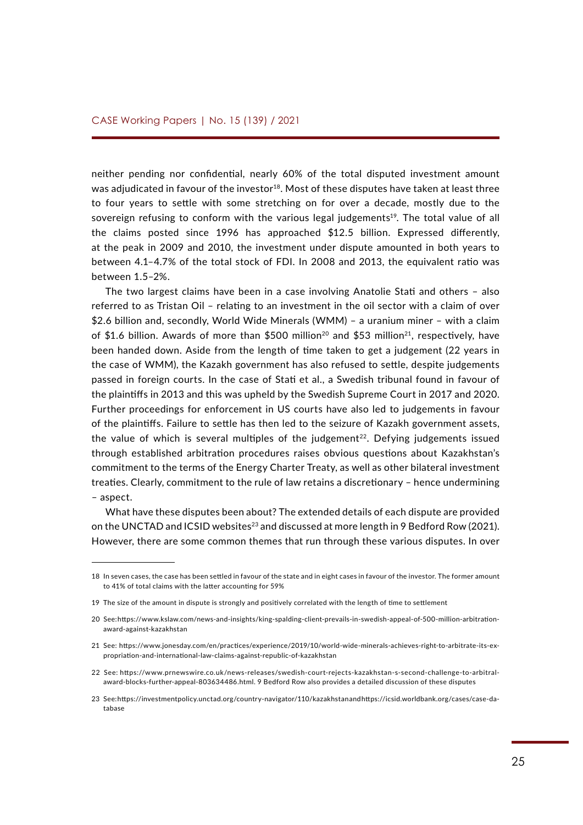neither pending nor confidential, nearly 60% of the total disputed investment amount was adjudicated in favour of the investor<sup>18</sup>. Most of these disputes have taken at least three to four years to settle with some stretching on for over a decade, mostly due to the sovereign refusing to conform with the various legal judgements<sup>19</sup>. The total value of all the claims posted since 1996 has approached \$12.5 billion. Expressed differently, at the peak in 2009 and 2010, the investment under dispute amounted in both years to between 4.1–4.7% of the total stock of FDI. In 2008 and 2013, the equivalent ratio was between 1.5–2%.

The two largest claims have been in a case involving Anatolie Stati and others – also referred to as Tristan Oil – relating to an investment in the oil sector with a claim of over \$2.6 billion and, secondly, World Wide Minerals (WMM) – a uranium miner – with a claim of \$1.6 billion. Awards of more than \$500 million<sup>20</sup> and \$53 million<sup>21</sup>, respectively, have been handed down. Aside from the length of time taken to get a judgement (22 years in the case of WMM), the Kazakh government has also refused to settle, despite judgements passed in foreign courts. In the case of Stati et al., a Swedish tribunal found in favour of the plaintiffs in 2013 and this was upheld by the Swedish Supreme Court in 2017 and 2020. Further proceedings for enforcement in US courts have also led to judgements in favour of the plaintiffs. Failure to settle has then led to the seizure of Kazakh government assets, the value of which is several multiples of the judgement<sup>22</sup>. Defying judgements issued through established arbitration procedures raises obvious questions about Kazakhstan's commitment to the terms of the Energy Charter Treaty, as well as other bilateral investment treaties. Clearly, commitment to the rule of law retains a discretionary – hence undermining – aspect.

What have these disputes been about? The extended details of each dispute are provided on the UNCTAD and ICSID websites<sup>23</sup> and discussed at more length in 9 Bedford Row (2021). However, there are some common themes that run through these various disputes. In over

<sup>18</sup> In seven cases, the case has been settled in favour of the state and in eight cases in favour of the investor. The former amount to 41% of total claims with the latter accounting for 59%

<sup>19</sup> The size of the amount in dispute is strongly and positively correlated with the length of time to settlement

<sup>20</sup> See: [https://www.kslaw.com/news-and-insights/king-spalding-client-prevails-in-swedish-appeal-of-500-million-arbitration](https://www.kslaw.com/news-and-insights/king-spalding-client-prevails-in-swedish-appeal-of-500-million-arbitration-award-against-kazakhstan)[award-against-kazakhstan](https://www.kslaw.com/news-and-insights/king-spalding-client-prevails-in-swedish-appeal-of-500-million-arbitration-award-against-kazakhstan)

<sup>21</sup> See: [https://www.jonesday.com/en/practices/experience/2019/10/world-wide-minerals-achieves-right-to-arbitrate-its-ex](https://www.jonesday.com/en/practices/experience/2019/10/world-wide-minerals-achieves-right-to-arbitrate-its-expropriation-and-international-law-claims-against-republic-of-kazakhstan)[propriation-and-international-law-claims-against-republic-of-kazakhstan](https://www.jonesday.com/en/practices/experience/2019/10/world-wide-minerals-achieves-right-to-arbitrate-its-expropriation-and-international-law-claims-against-republic-of-kazakhstan)

<sup>22</sup> See: [https://www.prnewswire.co.uk/news-releases/swedish-court-rejects-kazakhstan-s-second-challenge-to-arbitral](https://www.prnewswire.co.uk/news-releases/swedish-court-rejects-kazakhstan-s-second-challenge-to-arbitral-award-blocks-further-appeal-803634486.html)[award-blocks-further-appeal-803634486.html](https://www.prnewswire.co.uk/news-releases/swedish-court-rejects-kazakhstan-s-second-challenge-to-arbitral-award-blocks-further-appeal-803634486.html). 9 Bedford Row also provides a detailed discussion of these disputes

<sup>23</sup> See:<https://investmentpolicy.unctad.org/country-navigator/110/kazakhstan> and [https://icsid.worldbank.org/cases/case-da](https://icsid.worldbank.org/cases/case-database)[tabase](https://icsid.worldbank.org/cases/case-database)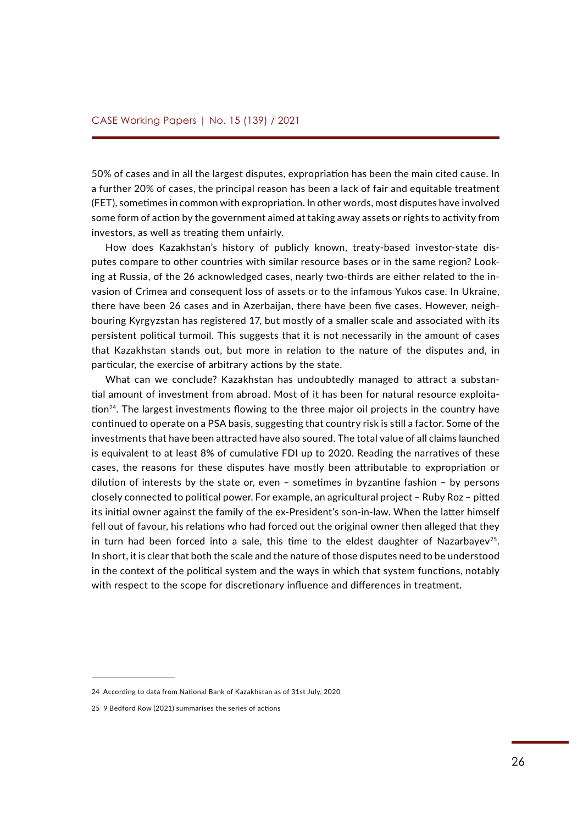50% of cases and in all the largest disputes, expropriation has been the main cited cause. In a further 20% of cases, the principal reason has been a lack of fair and equitable treatment (FET), sometimes in common with expropriation. In other words, most disputes have involved some form of action by the government aimed at taking away assets or rights to activity from investors, as well as treating them unfairly.

How does Kazakhstan's history of publicly known, treaty-based investor-state disputes compare to other countries with similar resource bases or in the same region? Looking at Russia, of the 26 acknowledged cases, nearly two-thirds are either related to the invasion of Crimea and consequent loss of assets or to the infamous Yukos case. In Ukraine, there have been 26 cases and in Azerbaijan, there have been five cases. However, neighbouring Kyrgyzstan has registered 17, but mostly of a smaller scale and associated with its persistent political turmoil. This suggests that it is not necessarily in the amount of cases that Kazakhstan stands out, but more in relation to the nature of the disputes and, in particular, the exercise of arbitrary actions by the state.

What can we conclude? Kazakhstan has undoubtedly managed to attract a substantial amount of investment from abroad. Most of it has been for natural resource exploitation<sup>24</sup>. The largest investments flowing to the three major oil projects in the country have continued to operate on a PSA basis, suggesting that country risk is still a factor. Some of the investments that have been attracted have also soured. The total value of all claims launched is equivalent to at least 8% of cumulative FDI up to 2020. Reading the narratives of these cases, the reasons for these disputes have mostly been attributable to expropriation or dilution of interests by the state or, even – sometimes in byzantine fashion – by persons closely connected to political power. For example, an agricultural project – Ruby Roz – pitted its initial owner against the family of the ex-President's son-in-law. When the latter himself fell out of favour, his relations who had forced out the original owner then alleged that they in turn had been forced into a sale, this time to the eldest daughter of Nazarbayev<sup>25</sup>. In short, it is clear that both the scale and the nature of those disputes need to be understood in the context of the political system and the ways in which that system functions, notably with respect to the scope for discretionary influence and differences in treatment.

<sup>24</sup> According to data from National Bank of Kazakhstan as of 31st July, 2020

<sup>25 9</sup> Bedford Row (2021) summarises the series of actions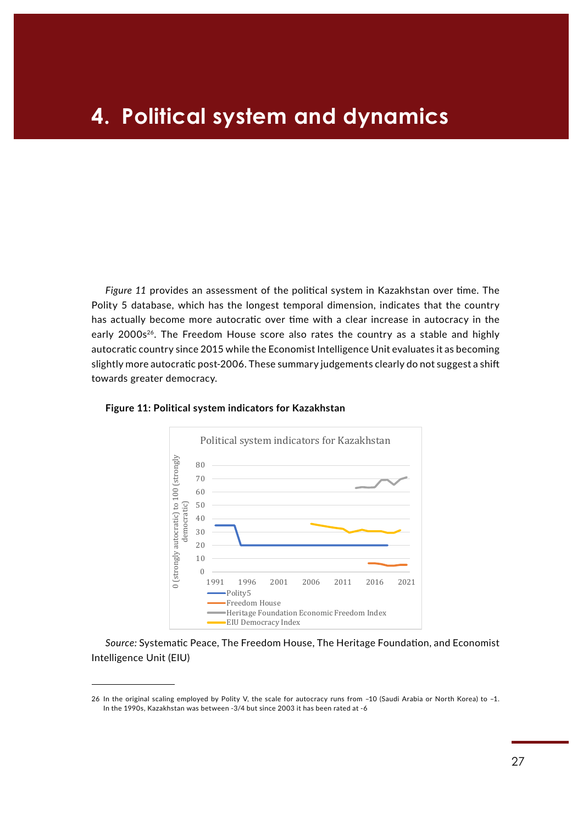## **4. Political system and dynamics**

*Figure 11* provides an assessment of the political system in Kazakhstan over time. The Polity 5 database, which has the longest temporal dimension, indicates that the country has actually become more autocratic over time with a clear increase in autocracy in the early 2000s<sup>26</sup>. The Freedom House score also rates the country as a stable and highly autocratic country since 2015 while the Economist Intelligence Unit evaluates it as becoming slightly more autocratic post-2006. These summary judgements clearly do not suggest a shift towards greater democracy.

![](_page_26_Figure_2.jpeg)

### **Figure 11: Political system indicators for Kazakhstan**

Source: Systematic Peace, The Freedom House, The Heritage Foundation, and Economist Intelligence Unit (EIU) **Jource** 

<sup>26</sup> In the original scaling employed by Polity V, the scale for autocracy runs from –10 (Saudi Arabia or North Korea) to –1. In the 1990s, Kazakhstan was between -3/4 but since 2003 it has been rated at -6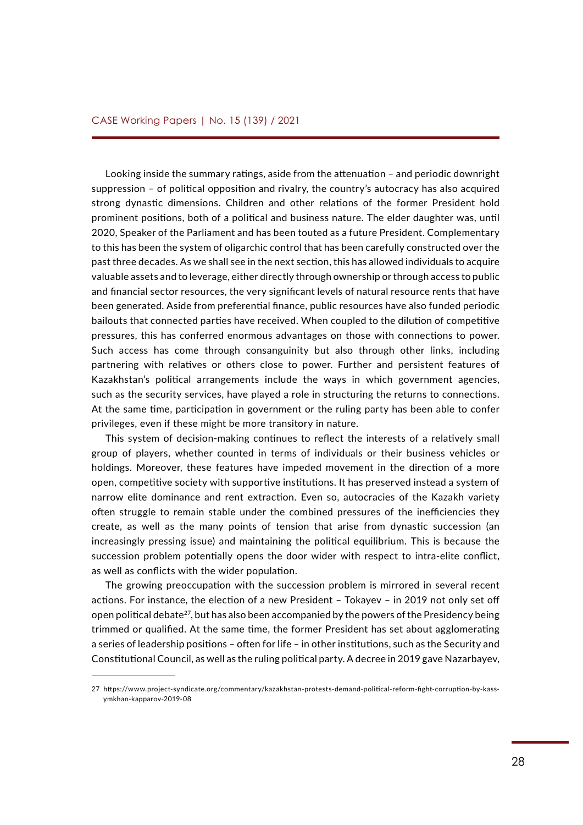Looking inside the summary ratings, aside from the attenuation – and periodic downright suppression – of political opposition and rivalry, the country's autocracy has also acquired strong dynastic dimensions. Children and other relations of the former President hold prominent positions, both of a political and business nature. The elder daughter was, until 2020, Speaker of the Parliament and has been touted as a future President. Complementary to this has been the system of oligarchic control that has been carefully constructed over the past three decades. As we shall see in the next section, this has allowed individuals to acquire valuable assets and to leverage, either directly through ownership or through access to public and financial sector resources, the very significant levels of natural resource rents that have been generated. Aside from preferential finance, public resources have also funded periodic bailouts that connected parties have received. When coupled to the dilution of competitive pressures, this has conferred enormous advantages on those with connections to power. Such access has come through consanguinity but also through other links, including partnering with relatives or others close to power. Further and persistent features of Kazakhstan's political arrangements include the ways in which government agencies, such as the security services, have played a role in structuring the returns to connections. At the same time, participation in government or the ruling party has been able to confer privileges, even if these might be more transitory in nature.

This system of decision-making continues to reflect the interests of a relatively small group of players, whether counted in terms of individuals or their business vehicles or holdings. Moreover, these features have impeded movement in the direction of a more open, competitive society with supportive institutions. It has preserved instead a system of narrow elite dominance and rent extraction. Even so, autocracies of the Kazakh variety often struggle to remain stable under the combined pressures of the inefficiencies they create, as well as the many points of tension that arise from dynastic succession (an increasingly pressing issue) and maintaining the political equilibrium. This is because the succession problem potentially opens the door wider with respect to intra-elite conflict, as well as conflicts with the wider population.

The growing preoccupation with the succession problem is mirrored in several recent actions. For instance, the election of a new President – Tokayev – in 2019 not only set off open political debate<sup>27</sup>, but has also been accompanied by the powers of the Presidency being trimmed or qualified. At the same time, the former President has set about agglomerating a series of leadership positions – often for life – in other institutions, such as the Security and Constitutional Council, as well as the ruling political party. A decree in 2019 gave Nazarbayev,

<sup>27</sup> [https://www.project-syndicate.org/commentary/kazakhstan-protests-demand-political-reform-fight-corruption-by-kass](https://www.project-syndicate.org/commentary/kazakhstan-protests-demand-political-reform-fight-corruption-by-kassymkhan-kapparov-2019-08)[ymkhan-kapparov-2019-08](https://www.project-syndicate.org/commentary/kazakhstan-protests-demand-political-reform-fight-corruption-by-kassymkhan-kapparov-2019-08)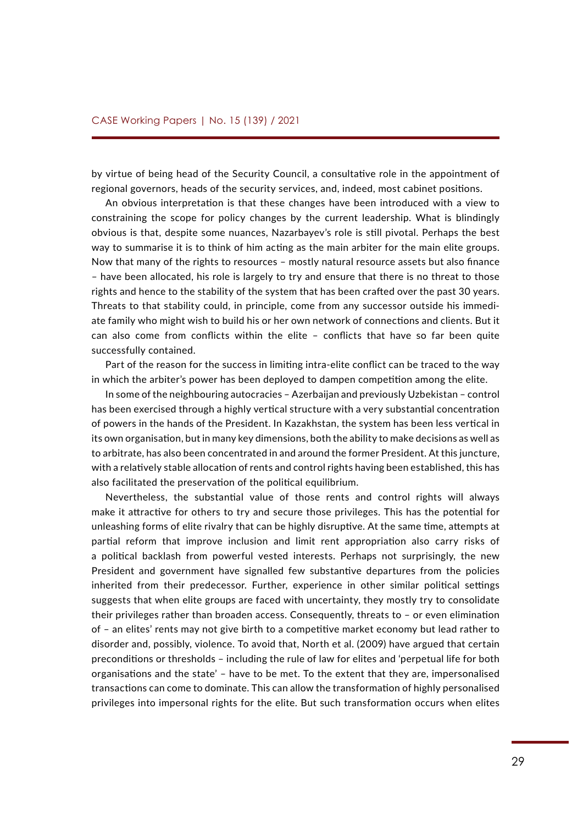by virtue of being head of the Security Council, a consultative role in the appointment of regional governors, heads of the security services, and, indeed, most cabinet positions.

An obvious interpretation is that these changes have been introduced with a view to constraining the scope for policy changes by the current leadership. What is blindingly obvious is that, despite some nuances, Nazarbayev's role is still pivotal. Perhaps the best way to summarise it is to think of him acting as the main arbiter for the main elite groups. Now that many of the rights to resources – mostly natural resource assets but also finance – have been allocated, his role is largely to try and ensure that there is no threat to those rights and hence to the stability of the system that has been crafted over the past 30 years. Threats to that stability could, in principle, come from any successor outside his immediate family who might wish to build his or her own network of connections and clients. But it can also come from conflicts within the elite – conflicts that have so far been quite successfully contained.

Part of the reason for the success in limiting intra-elite conflict can be traced to the way in which the arbiter's power has been deployed to dampen competition among the elite.

In some of the neighbouring autocracies – Azerbaijan and previously Uzbekistan – control has been exercised through a highly vertical structure with a very substantial concentration of powers in the hands of the President. In Kazakhstan, the system has been less vertical in its own organisation, but in many key dimensions, both the ability to make decisions as well as to arbitrate, has also been concentrated in and around the former President. At this juncture, with a relatively stable allocation of rents and control rights having been established, this has also facilitated the preservation of the political equilibrium.

Nevertheless, the substantial value of those rents and control rights will always make it attractive for others to try and secure those privileges. This has the potential for unleashing forms of elite rivalry that can be highly disruptive. At the same time, attempts at partial reform that improve inclusion and limit rent appropriation also carry risks of a political backlash from powerful vested interests. Perhaps not surprisingly, the new President and government have signalled few substantive departures from the policies inherited from their predecessor. Further, experience in other similar political settings suggests that when elite groups are faced with uncertainty, they mostly try to consolidate their privileges rather than broaden access. Consequently, threats to – or even elimination of – an elites' rents may not give birth to a competitive market economy but lead rather to disorder and, possibly, violence. To avoid that, North et al. (2009) have argued that certain preconditions or thresholds – including the rule of law for elites and 'perpetual life for both organisations and the state' – have to be met. To the extent that they are, impersonalised transactions can come to dominate. This can allow the transformation of highly personalised privileges into impersonal rights for the elite. But such transformation occurs when elites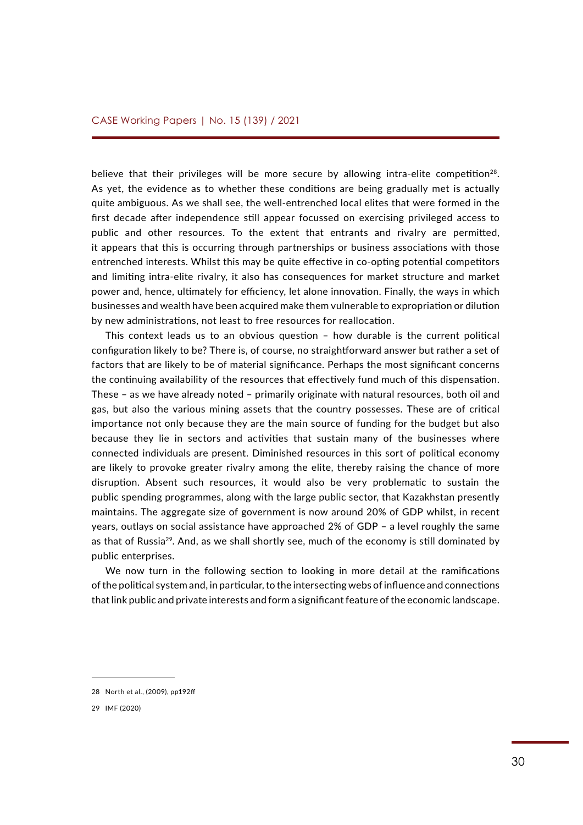believe that their privileges will be more secure by allowing intra-elite competition<sup>28</sup>. As yet, the evidence as to whether these conditions are being gradually met is actually quite ambiguous. As we shall see, the well-entrenched local elites that were formed in the first decade after independence still appear focussed on exercising privileged access to public and other resources. To the extent that entrants and rivalry are permitted, it appears that this is occurring through partnerships or business associations with those entrenched interests. Whilst this may be quite effective in co-opting potential competitors and limiting intra-elite rivalry, it also has consequences for market structure and market power and, hence, ultimately for efficiency, let alone innovation. Finally, the ways in which businesses and wealth have been acquired make them vulnerable to expropriation or dilution by new administrations, not least to free resources for reallocation.

This context leads us to an obvious question – how durable is the current political configuration likely to be? There is, of course, no straightforward answer but rather a set of factors that are likely to be of material significance. Perhaps the most significant concerns the continuing availability of the resources that effectively fund much of this dispensation. These – as we have already noted – primarily originate with natural resources, both oil and gas, but also the various mining assets that the country possesses. These are of critical importance not only because they are the main source of funding for the budget but also because they lie in sectors and activities that sustain many of the businesses where connected individuals are present. Diminished resources in this sort of political economy are likely to provoke greater rivalry among the elite, thereby raising the chance of more disruption. Absent such resources, it would also be very problematic to sustain the public spending programmes, along with the large public sector, that Kazakhstan presently maintains. The aggregate size of government is now around 20% of GDP whilst, in recent years, outlays on social assistance have approached 2% of GDP – a level roughly the same as that of Russia<sup>29</sup>. And, as we shall shortly see, much of the economy is still dominated by public enterprises.

We now turn in the following section to looking in more detail at the ramifications of the political system and, in particular, to the intersecting webs of influence and connections that link public and private interests and form a significant feature of the economic landscape.

<sup>28</sup> North et al., (2009), pp192ff

<sup>29</sup> IMF (2020)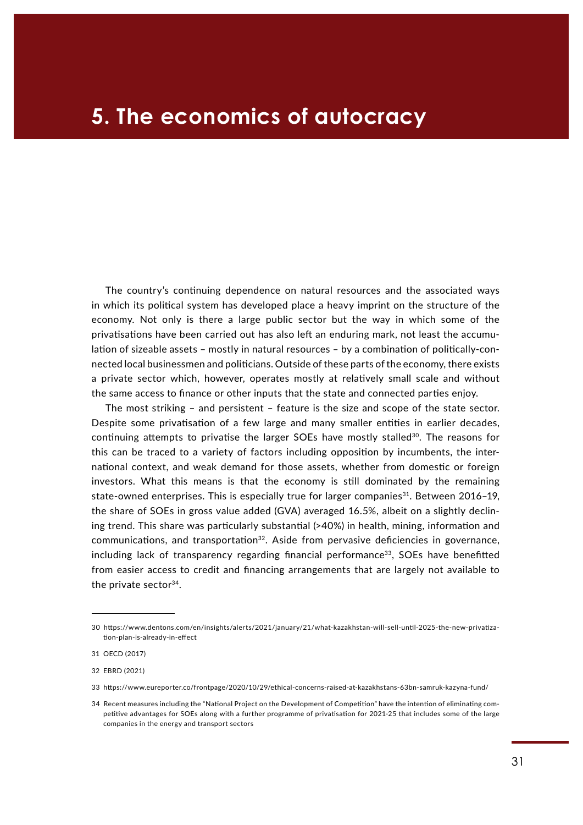## 5. The economics of autocracy

The country's continuing dependence on natural resources and the associated ways in which its political system has developed place a heavy imprint on the structure of the economy. Not only is there a large public sector but the way in which some of the privatisations have been carried out has also left an enduring mark, not least the accumulation of sizeable assets – mostly in natural resources – by a combination of politically-connected local businessmen and politicians. Outside of these parts of the economy, there exists a private sector which, however, operates mostly at relatively small scale and without the same access to finance or other inputs that the state and connected parties enjoy.

The most striking – and persistent – feature is the size and scope of the state sector. Despite some privatisation of a few large and many smaller entities in earlier decades, continuing attempts to privatise the larger SOEs have mostly stalled<sup>30</sup>. The reasons for this can be traced to a variety of factors including opposition by incumbents, the international context, and weak demand for those assets, whether from domestic or foreign investors. What this means is that the economy is still dominated by the remaining state-owned enterprises. This is especially true for larger companies<sup>31</sup>. Between 2016-19, the share of SOEs in gross value added (GVA) averaged 16.5%, albeit on a slightly declining trend. This share was particularly substantial (>40%) in health, mining, information and communications, and transportation<sup>32</sup>. Aside from pervasive deficiencies in governance,  $including$  lack of transparency regarding financial performance<sup>33</sup>. SOEs have benefitted from easier access to credit and financing arrangements that are largely not available to the private sector<sup>34</sup>.

<sup>30</sup> [https://www.dentons.com/en/insights/alerts/2021/january/21/what-kazakhstan-will-sell-until-2025-the-new-privatiza](https://www.dentons.com/en/insights/alerts/2021/january/21/what-kazakhstan-will-sell-until-2025-the-new-privatization-plan-is-already-in-effect)[tion-plan-is-already-in-effect](https://www.dentons.com/en/insights/alerts/2021/january/21/what-kazakhstan-will-sell-until-2025-the-new-privatization-plan-is-already-in-effect)

<sup>31</sup> OECD (2017)

<sup>32</sup> EBRD (2021)

<sup>33</sup> <https://www.eureporter.co/frontpage/2020/10/29/ethical-concerns-raised-at-kazakhstans-63bn-samruk-kazyna-fund/>

<sup>34</sup> Recent measures including the "National Project on the Development of Competition" have the intention of eliminating competitive advantages for SOEs along with a further programme of privatisation for 2021-25 that includes some of the large companies in the energy and transport sectors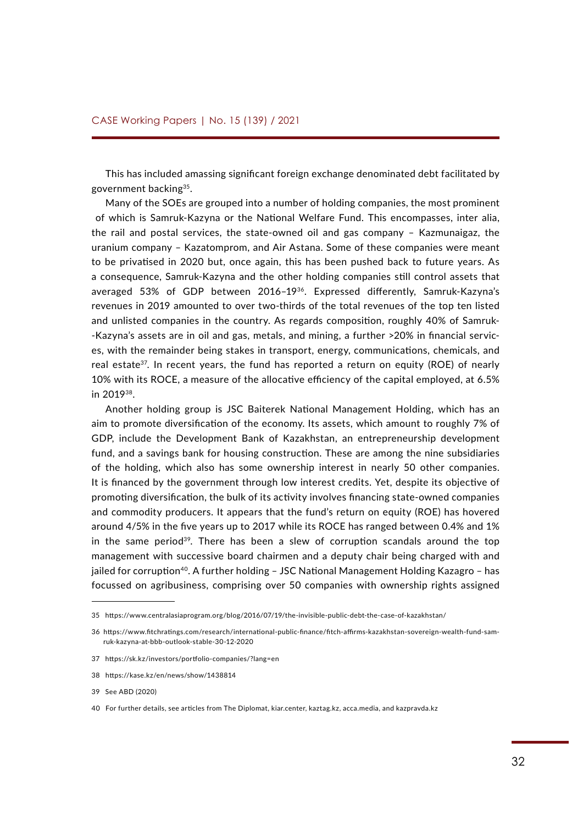This has included amassing significant foreign exchange denominated debt facilitated by government backing35.

Many of the SOEs are grouped into a number of holding companies, the most prominent of which is Samruk-Kazyna or the National Welfare Fund. This encompasses, inter alia, the rail and postal services, the state-owned oil and gas company – Kazmunaigaz, the uranium company – Kazatomprom, and Air Astana. Some of these companies were meant to be privatised in 2020 but, once again, this has been pushed back to future years. As a consequence, Samruk-Kazyna and the other holding companies still control assets that averaged 53% of GDP between 2016–1936. Expressed differently, Samruk-Kazyna's revenues in 2019 amounted to over two-thirds of the total revenues of the top ten listed and unlisted companies in the country. As regards composition, roughly 40% of Samruk- -Kazyna's assets are in oil and gas, metals, and mining, a further >20% in financial services, with the remainder being stakes in transport, energy, communications, chemicals, and real estate<sup>37</sup>. In recent years, the fund has reported a return on equity (ROE) of nearly 10% with its ROCE, a measure of the allocative efficiency of the capital employed, at 6.5% in 201938.

Another holding group is JSC Baiterek National Management Holding, which has an aim to promote diversification of the economy. Its assets, which amount to roughly 7% of GDP, include the Development Bank of Kazakhstan, an entrepreneurship development fund, and a savings bank for housing construction. These are among the nine subsidiaries of the holding, which also has some ownership interest in nearly 50 other companies. It is financed by the government through low interest credits. Yet, despite its objective of promoting diversification, the bulk of its activity involves financing state-owned companies and commodity producers. It appears that the fund's return on equity (ROE) has hovered around 4/5% in the five years up to 2017 while its ROCE has ranged between 0.4% and 1% in the same period<sup>39</sup>. There has been a slew of corruption scandals around the top management with successive board chairmen and a deputy chair being charged with and jailed for corruption<sup>40</sup>. A further holding - JSC National Management Holding Kazagro - has focussed on agribusiness, comprising over 50 companies with ownership rights assigned

<sup>35</sup> <https://www.centralasiaprogram.org/blog/2016/07/19/the-invisible-public-debt-the-case-of-kazakhstan/>

<sup>36</sup> [https://www.fitchratings.com/research/international-public-finance/fitch-affirms-kazakhstan-sovereign-wealth-fund-sam](https://www.fitchratings.com/research/international-public-finance/fitch-affirms-kazakhstan-sovereign-wealth-fund-samruk-kazyna-at-bbb-outlook-stable-30-12-2020)[ruk-kazyna-at-bbb-outlook-stable-30-12-2020](https://www.fitchratings.com/research/international-public-finance/fitch-affirms-kazakhstan-sovereign-wealth-fund-samruk-kazyna-at-bbb-outlook-stable-30-12-2020)

<sup>37</sup> <https://sk.kz/investors/portfolio-companies/?lang=en>

<sup>38</sup> <https://kase.kz/en/news/show/1438814>

<sup>39</sup> See ABD (2020)

<sup>40</sup> For further details, see articles from The Diplomat, kiar.center, kaztag.kz, acca.media, and kazpravda.kz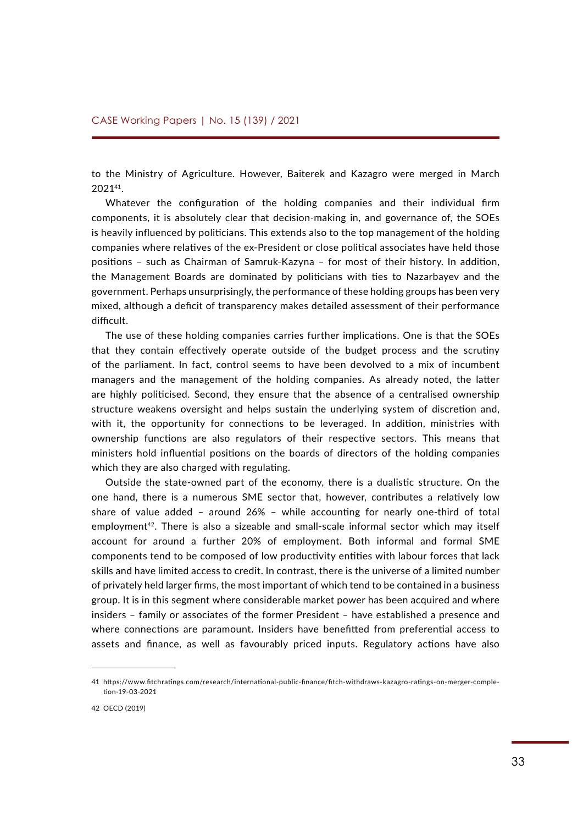to the Ministry of Agriculture. However, Baiterek and Kazagro were merged in March 202141.

Whatever the configuration of the holding companies and their individual firm components, it is absolutely clear that decision-making in, and governance of, the SOEs is heavily influenced by politicians. This extends also to the top management of the holding companies where relatives of the ex-President or close political associates have held those positions – such as Chairman of Samruk-Kazyna – for most of their history. In addition, the Management Boards are dominated by politicians with ties to Nazarbayev and the government. Perhaps unsurprisingly, the performance of these holding groups has been very mixed, although a deficit of transparency makes detailed assessment of their performance difficult.

The use of these holding companies carries further implications. One is that the SOEs that they contain effectively operate outside of the budget process and the scrutiny of the parliament. In fact, control seems to have been devolved to a mix of incumbent managers and the management of the holding companies. As already noted, the latter are highly politicised. Second, they ensure that the absence of a centralised ownership structure weakens oversight and helps sustain the underlying system of discretion and, with it, the opportunity for connections to be leveraged. In addition, ministries with ownership functions are also regulators of their respective sectors. This means that ministers hold influential positions on the boards of directors of the holding companies which they are also charged with regulating.

Outside the state-owned part of the economy, there is a dualistic structure. On the one hand, there is a numerous SME sector that, however, contributes a relatively low share of value added – around 26% – while accounting for nearly one-third of total employment<sup>42</sup>. There is also a sizeable and small-scale informal sector which may itself account for around a further 20% of employment. Both informal and formal SME components tend to be composed of low productivity entities with labour forces that lack skills and have limited access to credit. In contrast, there is the universe of a limited number of privately held larger firms, the most important of which tend to be contained in a business group. It is in this segment where considerable market power has been acquired and where insiders – family or associates of the former President – have established a presence and where connections are paramount. Insiders have benefitted from preferential access to assets and finance, as well as favourably priced inputs. Regulatory actions have also

<sup>41</sup> [https://www.fitchratings.com/research/international-public-finance/fitch-withdraws-kazagro-ratings-on-merger-comple](https://www.fitchratings.com/research/international-public-finance/fitch-withdraws-kazagro-ratings-on-merger-completion-19-03-2021)[tion-19-03-2021](https://www.fitchratings.com/research/international-public-finance/fitch-withdraws-kazagro-ratings-on-merger-completion-19-03-2021)

<sup>42</sup> OECD (2019)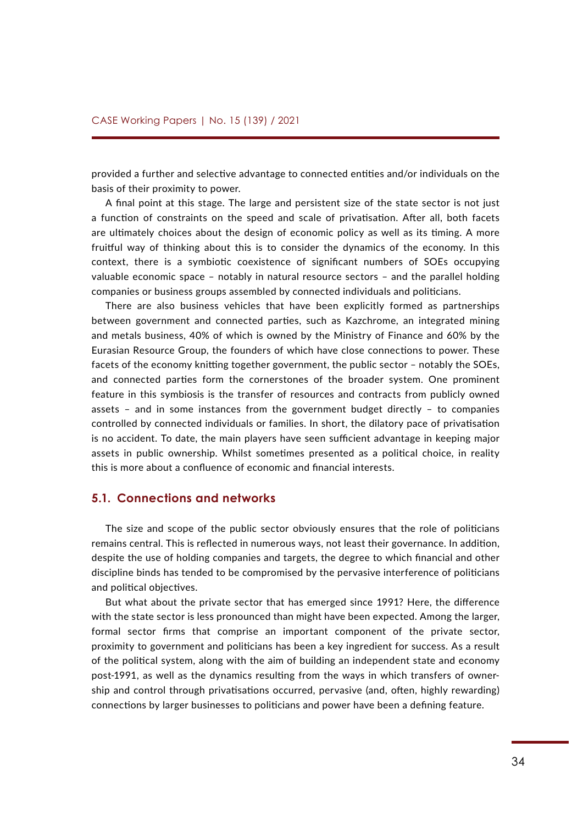provided a further and selective advantage to connected entities and/or individuals on the basis of their proximity to power.

A final point at this stage. The large and persistent size of the state sector is not just a function of constraints on the speed and scale of privatisation. After all, both facets are ultimately choices about the design of economic policy as well as its timing. A more fruitful way of thinking about this is to consider the dynamics of the economy. In this context, there is a symbiotic coexistence of significant numbers of SOEs occupying valuable economic space – notably in natural resource sectors – and the parallel holding companies or business groups assembled by connected individuals and politicians.

There are also business vehicles that have been explicitly formed as partnerships between government and connected parties, such as Kazchrome, an integrated mining and metals business, 40% of which is owned by the Ministry of Finance and 60% by the Eurasian Resource Group, the founders of which have close connections to power. These facets of the economy knitting together government, the public sector – notably the SOEs, and connected parties form the cornerstones of the broader system. One prominent feature in this symbiosis is the transfer of resources and contracts from publicly owned assets – and in some instances from the government budget directly – to companies controlled by connected individuals or families. In short, the dilatory pace of privatisation is no accident. To date, the main players have seen sufficient advantage in keeping major assets in public ownership. Whilst sometimes presented as a political choice, in reality this is more about a confluence of economic and financial interests.

### **5.1. Connections and networks**

The size and scope of the public sector obviously ensures that the role of politicians remains central. This is reflected in numerous ways, not least their governance. In addition, despite the use of holding companies and targets, the degree to which financial and other discipline binds has tended to be compromised by the pervasive interference of politicians and political objectives.

But what about the private sector that has emerged since 1991? Here, the difference with the state sector is less pronounced than might have been expected. Among the larger, formal sector firms that comprise an important component of the private sector, proximity to government and politicians has been a key ingredient for success. As a result of the political system, along with the aim of building an independent state and economy post-1991, as well as the dynamics resulting from the ways in which transfers of ownership and control through privatisations occurred, pervasive (and, often, highly rewarding) connections by larger businesses to politicians and power have been a defining feature.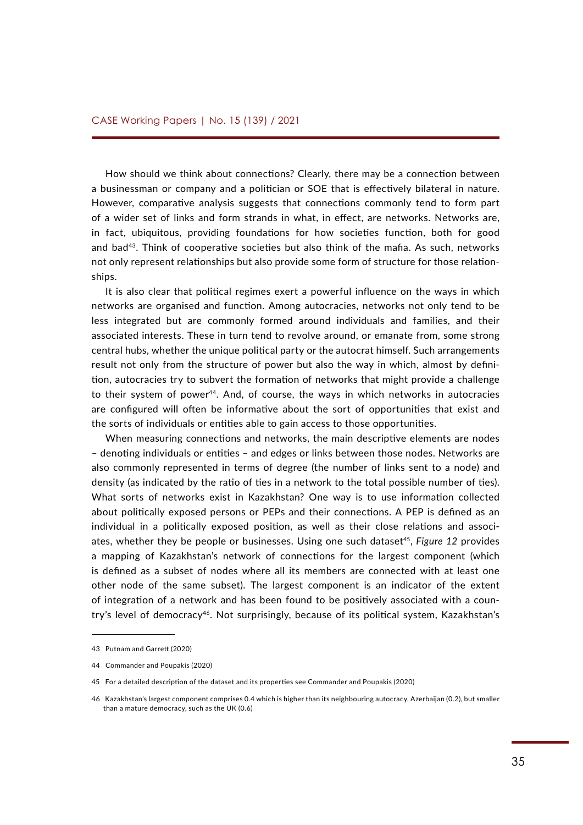How should we think about connections? Clearly, there may be a connection between a businessman or company and a politician or SOE that is effectively bilateral in nature. However, comparative analysis suggests that connections commonly tend to form part of a wider set of links and form strands in what, in effect, are networks. Networks are, in fact, ubiquitous, providing foundations for how societies function, both for good and bad43. Think of cooperative societies but also think of the mafia. As such, networks not only represent relationships but also provide some form of structure for those relationships.

It is also clear that political regimes exert a powerful influence on the ways in which networks are organised and function. Among autocracies, networks not only tend to be less integrated but are commonly formed around individuals and families, and their associated interests. These in turn tend to revolve around, or emanate from, some strong central hubs, whether the unique political party or the autocrat himself. Such arrangements result not only from the structure of power but also the way in which, almost by definition, autocracies try to subvert the formation of networks that might provide a challenge to their system of power44. And, of course, the ways in which networks in autocracies are configured will often be informative about the sort of opportunities that exist and the sorts of individuals or entities able to gain access to those opportunities.

When measuring connections and networks, the main descriptive elements are nodes – denoting individuals or entities – and edges or links between those nodes. Networks are also commonly represented in terms of degree (the number of links sent to a node) and density (as indicated by the ratio of ties in a network to the total possible number of ties). What sorts of networks exist in Kazakhstan? One way is to use information collected about politically exposed persons or PEPs and their connections. A PEP is defined as an individual in a politically exposed position, as well as their close relations and associates, whether they be people or businesses. Using one such dataset<sup>45</sup>, *Figure 12* provides a mapping of Kazakhstan's network of connections for the largest component (which is defined as a subset of nodes where all its members are connected with at least one other node of the same subset). The largest component is an indicator of the extent of integration of a network and has been found to be positively associated with a country's level of democracy<sup>46</sup>. Not surprisingly, because of its political system, Kazakhstan's

<sup>43</sup> Putnam and Garrett (2020)

<sup>44</sup> Commander and Poupakis (2020)

<sup>45</sup> For a detailed description of the dataset and its properties see Commander and Poupakis (2020)

<sup>46</sup> Kazakhstan's largest component comprises 0.4 which is higher than its neighbouring autocracy, Azerbaijan (0.2), but smaller than a mature democracy, such as the UK (0.6)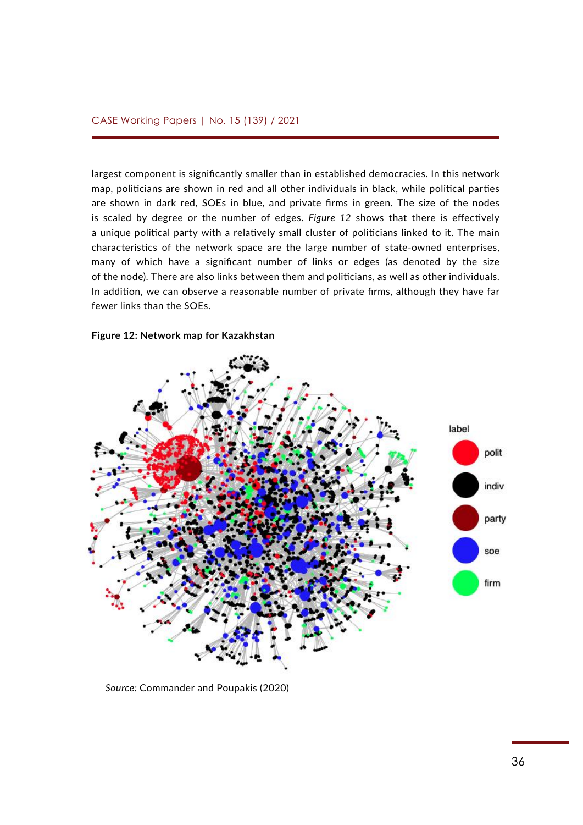largest component is significantly smaller than in established democracies. In this network map, politicians are shown in red and all other individuals in black, while political parties are shown in dark red, SOEs in blue, and private firms in green. The size of the nodes is scaled by degree or the number of edges. *Figure 12* shows that there is effectively a unique political party with a relatively small cluster of politicians linked to it. The main characteristics of the network space are the large number of state-owned enterprises, many of which have a significant number of links or edges (as denoted by the size of the node). There are also links between them and politicians, as well as other individuals. In addition, we can observe a reasonable number of private firms, although they have far fewer links than the SOEs.

### **Figure 12: Network map for Kazakhstan**

![](_page_35_Figure_3.jpeg)

*Source:* Commander and Poupakis (2020) **Source:** Commander and Poupakis (2020)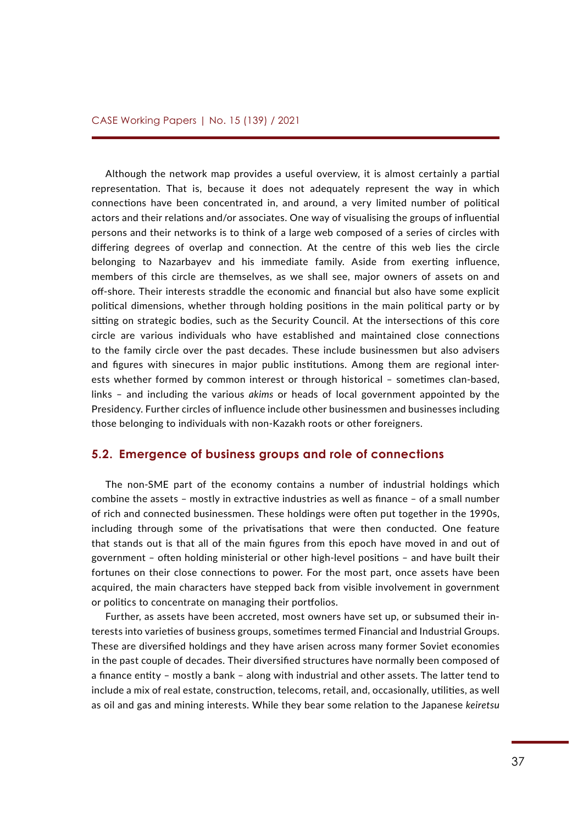Although the network map provides a useful overview, it is almost certainly a partial representation. That is, because it does not adequately represent the way in which connections have been concentrated in, and around, a very limited number of political actors and their relations and/or associates. One way of visualising the groups of influential persons and their networks is to think of a large web composed of a series of circles with differing degrees of overlap and connection. At the centre of this web lies the circle belonging to Nazarbayev and his immediate family. Aside from exerting influence, members of this circle are themselves, as we shall see, major owners of assets on and off-shore. Their interests straddle the economic and financial but also have some explicit political dimensions, whether through holding positions in the main political party or by sitting on strategic bodies, such as the Security Council. At the intersections of this core circle are various individuals who have established and maintained close connections to the family circle over the past decades. These include businessmen but also advisers and figures with sinecures in major public institutions. Among them are regional interests whether formed by common interest or through historical – sometimes clan-based, links – and including the various *akims* or heads of local government appointed by the Presidency. Further circles of influence include other businessmen and businesses including those belonging to individuals with non-Kazakh roots or other foreigners.

### **5.2. Emergence of business groups and role of connections**

The non-SME part of the economy contains a number of industrial holdings which combine the assets – mostly in extractive industries as well as finance – of a small number of rich and connected businessmen. These holdings were often put together in the 1990s, including through some of the privatisations that were then conducted. One feature that stands out is that all of the main figures from this epoch have moved in and out of government – often holding ministerial or other high-level positions – and have built their fortunes on their close connections to power. For the most part, once assets have been acquired, the main characters have stepped back from visible involvement in government or politics to concentrate on managing their portfolios.

Further, as assets have been accreted, most owners have set up, or subsumed their interests into varieties of business groups, sometimes termed Financial and Industrial Groups. These are diversified holdings and they have arisen across many former Soviet economies in the past couple of decades. Their diversified structures have normally been composed of a finance entity – mostly a bank – along with industrial and other assets. The latter tend to include a mix of real estate, construction, telecoms, retail, and, occasionally, utilities, as well as oil and gas and mining interests. While they bear some relation to the Japanese *keiretsu*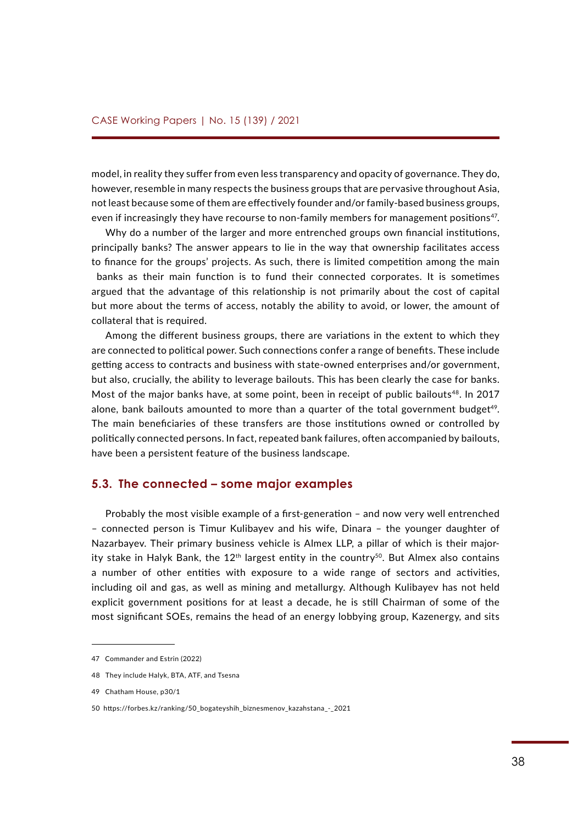model, in reality they suffer from even less transparency and opacity of governance. They do, however, resemble in many respects the business groups that are pervasive throughout Asia, not least because some of them are effectively founder and/or family-based business groups, even if increasingly they have recourse to non-family members for management positions<sup>47</sup>.

Why do a number of the larger and more entrenched groups own financial institutions, principally banks? The answer appears to lie in the way that ownership facilitates access to finance for the groups' projects. As such, there is limited competition among the main banks as their main function is to fund their connected corporates. It is sometimes argued that the advantage of this relationship is not primarily about the cost of capital but more about the terms of access, notably the ability to avoid, or lower, the amount of collateral that is required.

Among the different business groups, there are variations in the extent to which they are connected to political power. Such connections confer a range of benefits. These include getting access to contracts and business with state-owned enterprises and/or government, but also, crucially, the ability to leverage bailouts. This has been clearly the case for banks. Most of the major banks have, at some point, been in receipt of public bailouts<sup>48</sup>. In 2017 alone, bank bailouts amounted to more than a quarter of the total government budget<sup>49</sup>. The main beneficiaries of these transfers are those institutions owned or controlled by politically connected persons. In fact, repeated bank failures, often accompanied by bailouts, have been a persistent feature of the business landscape.

### **5.3. The connected – some major examples**

Probably the most visible example of a first-generation – and now very well entrenched – connected person is Timur Kulibayev and his wife, Dinara – the younger daughter of Nazarbayev. Their primary business vehicle is Almex LLP, a pillar of which is their majority stake in Halyk Bank, the 12<sup>th</sup> largest entity in the country<sup>50</sup>. But Almex also contains a number of other entities with exposure to a wide range of sectors and activities, including oil and gas, as well as mining and metallurgy. Although Kulibayev has not held explicit government positions for at least a decade, he is still Chairman of some of the most significant SOEs, remains the head of an energy lobbying group, Kazenergy*,* and sits

<sup>47</sup> Commander and Estrin (2022)

<sup>48</sup> They include Halyk, BTA, ATF, and Tsesna

<sup>49</sup> Chatham House, p30/1

<sup>50</sup> [https://forbes.kz/ranking/50\\_bogateyshih\\_biznesmenov\\_kazahstana\\_-\\_2021](https://forbes.kz/ranking/50_bogateyshih_biznesmenov_kazahstana_-_2021)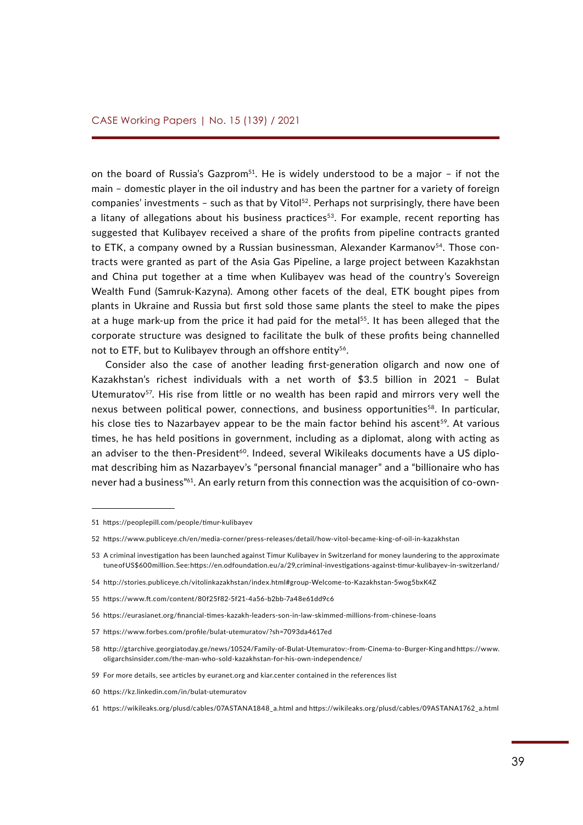on the board of Russia's Gazprom<sup>51</sup>. He is widely understood to be a major - if not the main – domestic player in the oil industry and has been the partner for a variety of foreign companies' investments – such as that by Vitol<sup>52</sup>. Perhaps not surprisingly, there have been a litany of allegations about his business practices<sup>53</sup>. For example, recent reporting has suggested that Kulibayev received a share of the profits from pipeline contracts granted to ETK, a company owned by a Russian businessman, Alexander Karmanov<sup>54</sup>. Those contracts were granted as part of the Asia Gas Pipeline, a large project between Kazakhstan and China put together at a time when Kulibayev was head of the country's Sovereign Wealth Fund (Samruk-Kazyna). Among other facets of the deal, ETK bought pipes from plants in Ukraine and Russia but first sold those same plants the steel to make the pipes at a huge mark-up from the price it had paid for the metal<sup>55</sup>. It has been alleged that the corporate structure was designed to facilitate the bulk of these profits being channelled not to ETF, but to Kulibayev through an offshore entity<sup>56</sup>.

Consider also the case of another leading first-generation oligarch and now one of Kazakhstan's richest individuals with a net worth of \$3.5 billion in 2021 – Bulat Utemuratov<sup>57</sup>. His rise from little or no wealth has been rapid and mirrors very well the nexus between political power, connections, and business opportunities<sup>58</sup>. In particular, his close ties to Nazarbayev appear to be the main factor behind his ascent<sup>59</sup>. At various times, he has held positions in government, including as a diplomat, along with acting as an adviser to the then-President<sup>60</sup>. Indeed, several Wikileaks documents have a US diplomat describing him as Nazarbayev's "personal financial manager" and a "billionaire who has never had a business"61. An early return from this connection was the acquisition of co-own-

60 <https://kz.linkedin.com/in/bulat-utemuratov>

<sup>51</sup><https://peoplepill.com/people/timur-kulibayev>

<sup>52</sup><https://www.publiceye.ch/en/media-corner/press-releases/detail/how-vitol-became-king-of-oil-in-kazakhstan>

<sup>53</sup> A criminal investigation has been launched against Timur Kulibayev in Switzerland for money laundering to the approximate tune of US\$600 million. See:<https://en.odfoundation.eu/a/29,criminal-investigations-against-timur-kulibayev-in-switzerland/>

<sup>54</sup> http://stories.publiceye.ch/vitolinkazakhstan/index.html#group-Welcome-to-Kazakhstan-5wog5bxK4Z

<sup>55</sup><https://www.ft.com/content/80f25f82-5f21-4a56-b2bb-7a48e61dd9c6>

<sup>56</sup> <https://eurasianet.org/financial-times-kazakh-leaders-son-in-law-skimmed-millions-from-chinese-loans>

<sup>57</sup> <https://www.forbes.com/profile/bulat-utemuratov/?sh=7093da4617ed>

<sup>58</sup> <http://gtarchive.georgiatoday.ge/news/10524/Family-of-Bulat-Utemuratov:-from-Cinema-to-Burger-King>and [https://www.](https://www.oligarchsinsider.com/the-man-who-sold-kazakhstan-for-his-own-independence/) [oligarchsinsider.com/the-man-who-sold-kazakhstan-for-his-own-independence/](https://www.oligarchsinsider.com/the-man-who-sold-kazakhstan-for-his-own-independence/)

<sup>59</sup> For more details, see articles by euranet.org and kiar.center contained in the references list

<sup>61</sup> [https://wikileaks.org/plusd/cables/07ASTANA1848\\_a.html](https://wikileaks.org/plusd/cables/07ASTANA1848_a.html) and [https://wikileaks.org/plusd/cables/09ASTANA1762\\_a.html](https://wikileaks.org/plusd/cables/09ASTANA1762_a.html)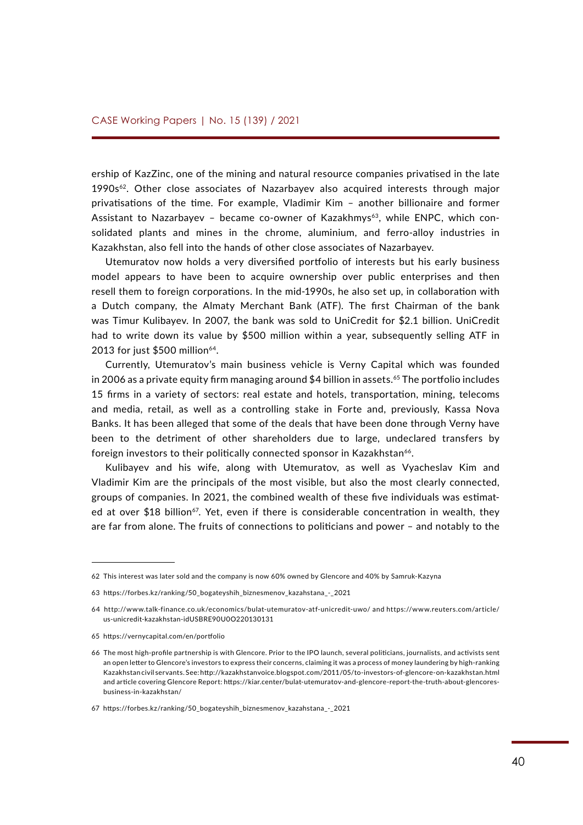ership of KazZinc, one of the mining and natural resource companies privatised in the late  $1990s<sup>62</sup>$ . Other close associates of Nazarbayev also acquired interests through major privatisations of the time. For example, Vladimir Kim – another billionaire and former Assistant to Nazarbayev - became co-owner of Kazakhmys<sup>63</sup>, while ENPC, which consolidated plants and mines in the chrome, aluminium, and ferro-alloy industries in Kazakhstan, also fell into the hands of other close associates of Nazarbayev.

Utemuratov now holds a very diversified portfolio of interests but his early business model appears to have been to acquire ownership over public enterprises and then resell them to foreign corporations. In the mid-1990s, he also set up, in collaboration with a Dutch company, the Almaty Merchant Bank (ATF). The first Chairman of the bank was Timur Kulibayev. In 2007, the bank was sold to UniCredit for \$2.1 billion. UniCredit had to write down its value by \$500 million within a year, subsequently selling ATF in 2013 for just  $$500$  million<sup>64</sup>.

Currently, Utemuratov's main business vehicle is Verny Capital which was founded in 2006 as a private equity firm managing around \$4 billion in assets.<sup>65</sup> The portfolio includes 15 firms in a variety of sectors: real estate and hotels, transportation, mining, telecoms and media, retail, as well as a controlling stake in Forte and, previously, Kassa Nova Banks. It has been alleged that some of the deals that have been done through Verny have been to the detriment of other shareholders due to large, undeclared transfers by foreign investors to their politically connected sponsor in Kazakhstan<sup>66</sup>.

Kulibayev and his wife, along with Utemuratov, as well as Vyacheslav Kim and Vladimir Kim are the principals of the most visible, but also the most clearly connected, groups of companies. In 2021, the combined wealth of these five individuals was estimated at over \$18 billion<sup>67</sup>. Yet, even if there is considerable concentration in wealth, they are far from alone. The fruits of connections to politicians and power – and notably to the

<sup>62</sup> This interest was later sold and the company is now 60% owned by Glencore and 40% by Samruk-Kazyna

<sup>63</sup> [https://forbes.kz/ranking/50\\_bogateyshih\\_biznesmenov\\_kazahstana\\_-\\_2021](https://forbes.kz/ranking/50_bogateyshih_biznesmenov_kazahstana_-_2021)

<sup>64</sup> <http://www.talk-finance.co.uk/economics/bulat-utemuratov-atf-unicredit-uwo/> and [https://www.reuters.com/article/](https://www.reuters.com/article/us-unicredit-kazakhstan-idUSBRE90U0O220130131) [us-unicredit-kazakhstan-idUSBRE90U0O220130131](https://www.reuters.com/article/us-unicredit-kazakhstan-idUSBRE90U0O220130131)

<sup>65</sup> <https://vernycapital.com/en/portfolio>

<sup>66</sup> The most high-profile partnership is with Glencore. Prior to the IPO launch, several politicians, journalists, and activists sent an open letter to Glencore's investors to express their concerns, claiming it was a process of money laundering by high-ranking Kazakhstan civil servants. See:<http://kazakhstanvoice.blogspot.com/2011/05/to-investors-of-glencore-on-kazakhstan.html> and article covering Glencore Report: [https://kiar.center/bulat-utemuratov-and-glencore-report-the-truth-about-glencores](https://kiar.center/bulat-utemuratov-and-glencore-report-the-truth-about-glencores-business-in-kazakhstan/)[business-in-kazakhstan/](https://kiar.center/bulat-utemuratov-and-glencore-report-the-truth-about-glencores-business-in-kazakhstan/)

<sup>67</sup> [https://forbes.kz/ranking/50\\_bogateyshih\\_biznesmenov\\_kazahstana\\_-\\_2021](https://forbes.kz/ranking/50_bogateyshih_biznesmenov_kazahstana_-_2021)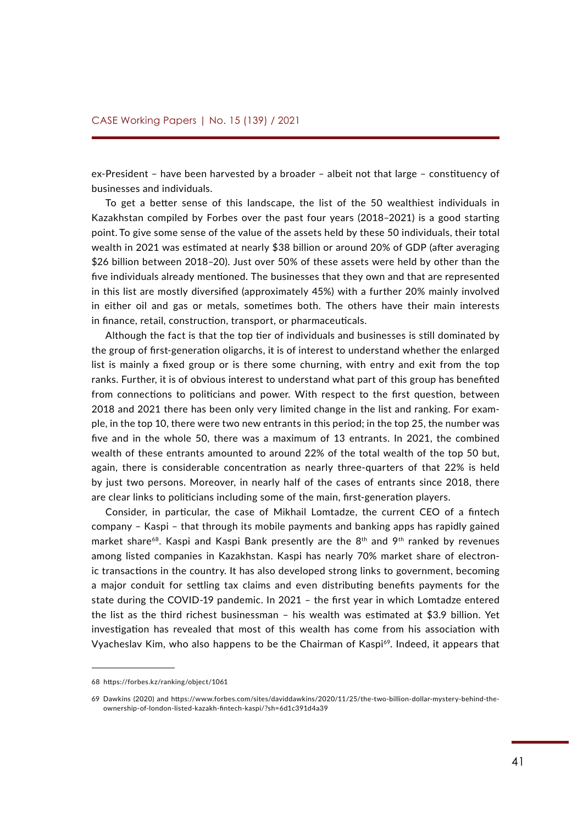ex-President – have been harvested by a broader – albeit not that large – constituency of businesses and individuals.

To get a better sense of this landscape, the list of the 50 wealthiest individuals in Kazakhstan compiled by Forbes over the past four years (2018–2021) is a good starting point. To give some sense of the value of the assets held by these 50 individuals, their total wealth in 2021 was estimated at nearly \$38 billion or around 20% of GDP (after averaging \$26 billion between 2018–20). Just over 50% of these assets were held by other than the five individuals already mentioned. The businesses that they own and that are represented in this list are mostly diversified (approximately 45%) with a further 20% mainly involved in either oil and gas or metals, sometimes both. The others have their main interests in finance, retail, construction, transport, or pharmaceuticals.

Although the fact is that the top tier of individuals and businesses is still dominated by the group of first-generation oligarchs, it is of interest to understand whether the enlarged list is mainly a fixed group or is there some churning, with entry and exit from the top ranks. Further, it is of obvious interest to understand what part of this group has benefited from connections to politicians and power. With respect to the first question, between 2018 and 2021 there has been only very limited change in the list and ranking. For example, in the top 10, there were two new entrants in this period; in the top 25, the number was five and in the whole 50, there was a maximum of 13 entrants. In 2021, the combined wealth of these entrants amounted to around 22% of the total wealth of the top 50 but, again, there is considerable concentration as nearly three-quarters of that 22% is held by just two persons. Moreover, in nearly half of the cases of entrants since 2018, there are clear links to politicians including some of the main, first-generation players.

Consider, in particular, the case of Mikhail Lomtadze, the current CEO of a fintech company – Kaspi – that through its mobile payments and banking apps has rapidly gained market share<sup>68</sup>. Kaspi and Kaspi Bank presently are the  $8<sup>th</sup>$  and  $9<sup>th</sup>$  ranked by revenues among listed companies in Kazakhstan. Kaspi has nearly 70% market share of electronic transactions in the country. It has also developed strong links to government, becoming a major conduit for settling tax claims and even distributing benefits payments for the state during the COVID-19 pandemic. In 2021 – the first year in which Lomtadze entered the list as the third richest businessman – his wealth was estimated at \$3.9 billion. Yet investigation has revealed that most of this wealth has come from his association with Vyacheslav Kim, who also happens to be the Chairman of Kaspi<sup>69</sup>. Indeed, it appears that

<sup>68</sup> <https://forbes.kz/ranking/object/1061>

<sup>69</sup> Dawkins (2020) and [https://www.forbes.com/sites/daviddawkins/2020/11/25/the-two-billion-dollar-mystery-behind-the](https://www.forbes.com/sites/daviddawkins/2020/11/25/the-two-billion-dollar-mystery-behind-the-ownership-of-london-listed-kazakh-fintech-kaspi/?sh=6d1c391d4a39)[ownership-of-london-listed-kazakh-fintech-kaspi/?sh=6d1c391d4a39](https://www.forbes.com/sites/daviddawkins/2020/11/25/the-two-billion-dollar-mystery-behind-the-ownership-of-london-listed-kazakh-fintech-kaspi/?sh=6d1c391d4a39)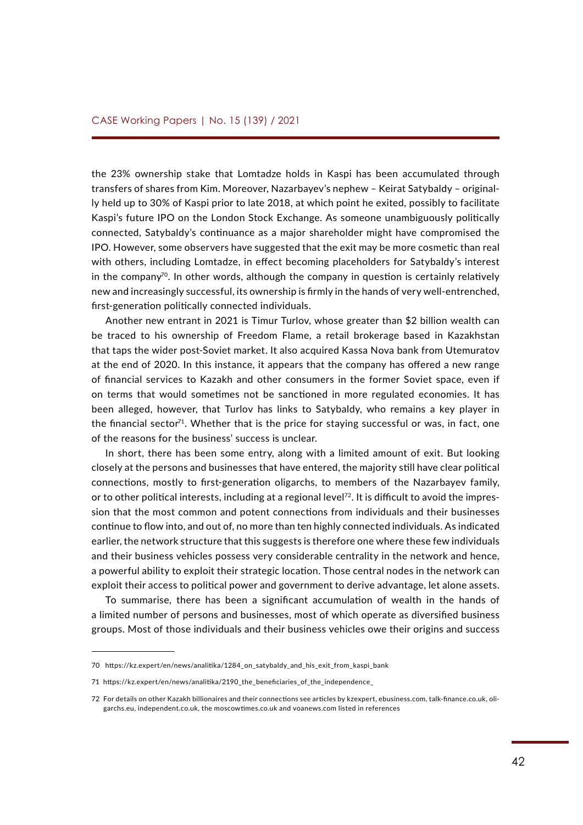the 23% ownership stake that Lomtadze holds in Kaspi has been accumulated through transfers of shares from Kim. Moreover, Nazarbayev's nephew – Keirat Satybaldy – originally held up to 30% of Kaspi prior to late 2018, at which point he exited, possibly to facilitate Kaspi's future IPO on the London Stock Exchange. As someone unambiguously politically connected, Satybaldy's continuance as a major shareholder might have compromised the IPO. However, some observers have suggested that the exit may be more cosmetic than real with others, including Lomtadze, in effect becoming placeholders for Satybaldy's interest in the company<sup>70</sup>. In other words, although the company in question is certainly relatively new and increasingly successful, its ownership is firmly in the hands of very well-entrenched, first-generation politically connected individuals.

Another new entrant in 2021 is Timur Turlov, whose greater than \$2 billion wealth can be traced to his ownership of Freedom Flame, a retail brokerage based in Kazakhstan that taps the wider post-Soviet market. It also acquired Kassa Nova bank from Utemuratov at the end of 2020. In this instance, it appears that the company has offered a new range of financial services to Kazakh and other consumers in the former Soviet space, even if on terms that would sometimes not be sanctioned in more regulated economies. It has been alleged, however, that Turlov has links to Satybaldy, who remains a key player in the financial sector<sup>71</sup>. Whether that is the price for staying successful or was, in fact, one of the reasons for the business' success is unclear.

In short, there has been some entry, along with a limited amount of exit. But looking closely at the persons and businesses that have entered, the majority still have clear political connections, mostly to first-generation oligarchs, to members of the Nazarbayev family, or to other political interests, including at a regional level<sup>72</sup>. It is difficult to avoid the impression that the most common and potent connections from individuals and their businesses continue to flow into, and out of, no more than ten highly connected individuals. As indicated earlier, the network structure that this suggests is therefore one where these few individuals and their business vehicles possess very considerable centrality in the network and hence, a powerful ability to exploit their strategic location. Those central nodes in the network can exploit their access to political power and government to derive advantage, let alone assets.

To summarise, there has been a significant accumulation of wealth in the hands of a limited number of persons and businesses, most of which operate as diversified business groups. Most of those individuals and their business vehicles owe their origins and success

<sup>70</sup> [https://kz.expert/en/news/analitika/1284\\_on\\_satybaldy\\_and\\_his\\_exit\\_from\\_kaspi\\_bank](https://kz.expert/en/news/analitika/1284_on_satybaldy_and_his_exit_from_kaspi_bank)

<sup>71</sup> https://kz.expert/en/news/analitika/2190 the beneficiaries of the independence

<sup>72</sup> For details on other Kazakh billionaires and their connections see articles by kzexpert, ebusiness.com, talk-finance.co.uk, oligarchs.eu, independent.co.uk, the moscowtimes.co.uk and voanews.com listed in references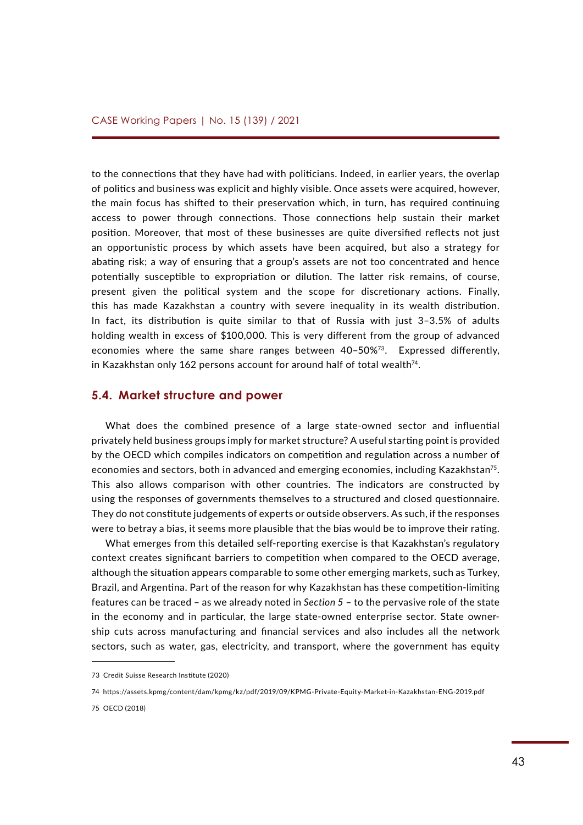to the connections that they have had with politicians. Indeed, in earlier years, the overlap of politics and business was explicit and highly visible. Once assets were acquired, however, the main focus has shifted to their preservation which, in turn, has required continuing access to power through connections. Those connections help sustain their market position. Moreover, that most of these businesses are quite diversified reflects not just an opportunistic process by which assets have been acquired, but also a strategy for abating risk; a way of ensuring that a group's assets are not too concentrated and hence potentially susceptible to expropriation or dilution. The latter risk remains, of course, present given the political system and the scope for discretionary actions. Finally, this has made Kazakhstan a country with severe inequality in its wealth distribution. In fact, its distribution is quite similar to that of Russia with just 3–3.5% of adults holding wealth in excess of \$100,000. This is very different from the group of advanced economies where the same share ranges between  $40-50\%$ <sup>73</sup>. Expressed differently, in Kazakhstan only 162 persons account for around half of total wealth $74$ .

### **5.4. Market structure and power**

What does the combined presence of a large state-owned sector and influential privately held business groups imply for market structure? A useful starting point is provided by the OECD which compiles indicators on competition and regulation across a number of economies and sectors, both in advanced and emerging economies, including Kazakhstan<sup>75</sup>. This also allows comparison with other countries. The indicators are constructed by using the responses of governments themselves to a structured and closed questionnaire. They do not constitute judgements of experts or outside observers. As such, if the responses were to betray a bias, it seems more plausible that the bias would be to improve their rating.

What emerges from this detailed self-reporting exercise is that Kazakhstan's regulatory context creates significant barriers to competition when compared to the OECD average, although the situation appears comparable to some other emerging markets, such as Turkey, Brazil, and Argentina. Part of the reason for why Kazakhstan has these competition-limiting features can be traced – as we already noted in *Section 5* – to the pervasive role of the state in the economy and in particular, the large state-owned enterprise sector. State ownership cuts across manufacturing and financial services and also includes all the network sectors, such as water, gas, electricity, and transport, where the government has equity

75 OECD (2018)

<sup>73</sup> Credit Suisse Research Institute (2020)

<sup>74</sup><https://assets.kpmg/content/dam/kpmg/kz/pdf/2019/09/KPMG-Private-Equity-Market-in-Kazakhstan-ENG-2019.pdf>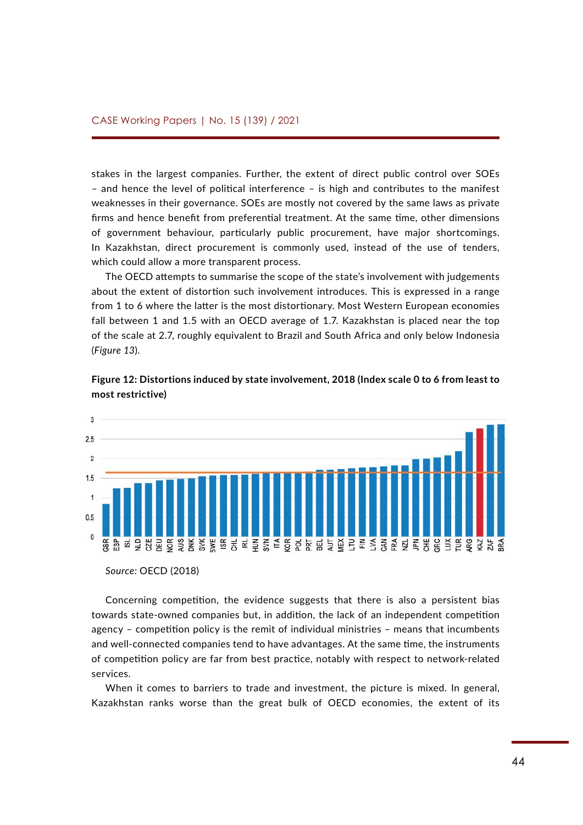stakes in the largest companies. Further, the extent of direct public control over SOEs – and hence the level of political interference – is high and contributes to the manifest weaknesses in their governance. SOEs are mostly not covered by the same laws as private firms and hence benefit from preferential treatment. At the same time, other dimensions of government behaviour, particularly public procurement, have major shortcomings. In Kazakhstan, direct procurement is commonly used, instead of the use of tenders, which could allow a more transparent process.

The OECD attempts to summarise the scope of the state's involvement with judgements about the extent of distortion such involvement introduces. This is expressed in a range from 1 to 6 where the latter is the most distortionary. Most Western European economies fall between 1 and 1.5 with an OECD average of 1.7. Kazakhstan is placed near the top of the scale at 2.7, roughly equivalent to Brazil and South Africa and only below Indonesia **(Figure 13).** 

![](_page_43_Figure_3.jpeg)

**Figure 12: Distortions induced by state involvement, 2018 (Index scale 0 to 6 from least to**  *Figure 13: Distortions induced by state involvement, 2018 (Index scale 0 to 6 from*  **most restrictive)** *rigure 12: Distortions ind* 

*Source:* OECD (2018) Source: OECD (2018)

Concerning competition, the evidence suggests that there is also a persistent bias towards state-owned companies but, in addition, the lack of an independent competition agency – competition policy is the remit of individual ministries – means that incumbents and well-connected companies tend to have advantages. At the same time, the instruments of competition policy are far from best practice, notably with respect to network-related services.

When it comes to barriers to trade and investment, the picture is mixed. In general, Kazakhstan ranks worse than the great bulk of OECD economies, the extent of its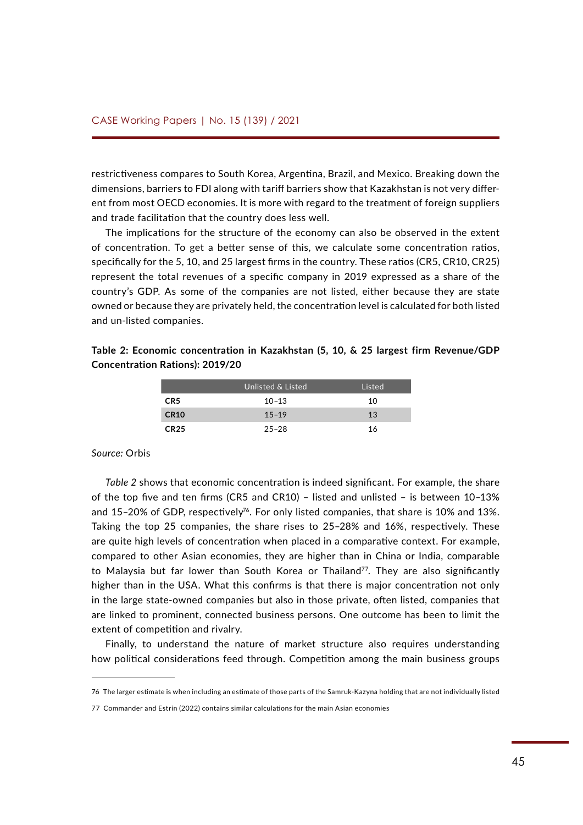restrictiveness compares to South Korea, Argentina, Brazil, and Mexico. Breaking down the dimensions, barriers to FDI along with tariff barriers show that Kazakhstan is not very different from most OECD economies. It is more with regard to the treatment of foreign suppliers and trade facilitation that the country does less well.

The implications for the structure of the economy can also be observed in the extent of concentration. To get a better sense of this, we calculate some concentration ratios, specifically for the 5, 10, and 25 largest firms in the country. These ratios (CR5, CR10, CR25) represent the total revenues of a specific company in 2019 expressed as a share of the country's GDP. As some of the companies are not listed, either because they are state owned or because they are privately held, the concentration level is calculated for both listed and un-listed companies.

|                 | Unlisted & Listed | Listed |
|-----------------|-------------------|--------|
| CR <sub>5</sub> | $10 - 13$         | 10     |
| <b>CR10</b>     | $15 - 19$         | 13     |
| <b>CR25</b>     | $25 - 28$         | 16     |

**Table 2: Economic concentration in Kazakhstan (5, 10, & 25 largest firm Revenue/GDP Concentration Rations): 2019/20**

#### *Source:* Orbis

*Table 2* shows that economic concentration is indeed significant. For example, the share of the top five and ten firms (CR5 and CR10) – listed and unlisted – is between 10–13% and 15-20% of GDP, respectively<sup>76</sup>. For only listed companies, that share is 10% and 13%. Taking the top 25 companies, the share rises to 25–28% and 16%, respectively. These are quite high levels of concentration when placed in a comparative context. For example, compared to other Asian economies, they are higher than in China or India, comparable to Malaysia but far lower than South Korea or Thailand<sup>77</sup>. They are also significantly higher than in the USA. What this confirms is that there is major concentration not only in the large state-owned companies but also in those private, often listed, companies that are linked to prominent, connected business persons. One outcome has been to limit the extent of competition and rivalry.

Finally, to understand the nature of market structure also requires understanding how political considerations feed through. Competition among the main business groups

<sup>76</sup> The larger estimate is when including an estimate of those parts of the Samruk-Kazyna holding that are not individually listed

<sup>77</sup> Commander and Estrin (2022) contains similar calculations for the main Asian economies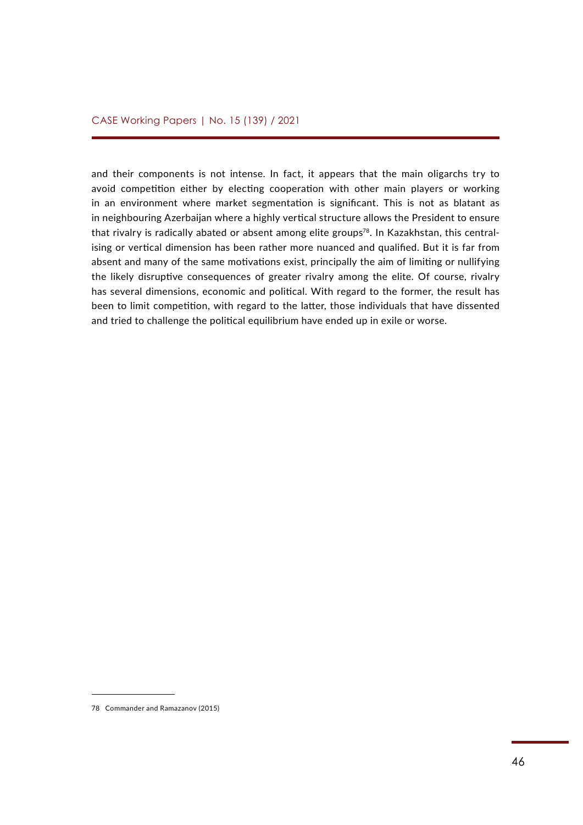and their components is not intense. In fact, it appears that the main oligarchs try to avoid competition either by electing cooperation with other main players or working in an environment where market segmentation is significant. This is not as blatant as in neighbouring Azerbaijan where a highly vertical structure allows the President to ensure that rivalry is radically abated or absent among elite groups<sup>78</sup>. In Kazakhstan, this centralising or vertical dimension has been rather more nuanced and qualified. But it is far from absent and many of the same motivations exist, principally the aim of limiting or nullifying the likely disruptive consequences of greater rivalry among the elite. Of course, rivalry has several dimensions, economic and political. With regard to the former, the result has been to limit competition, with regard to the latter, those individuals that have dissented and tried to challenge the political equilibrium have ended up in exile or worse.

<sup>78</sup> Commander and Ramazanov (2015)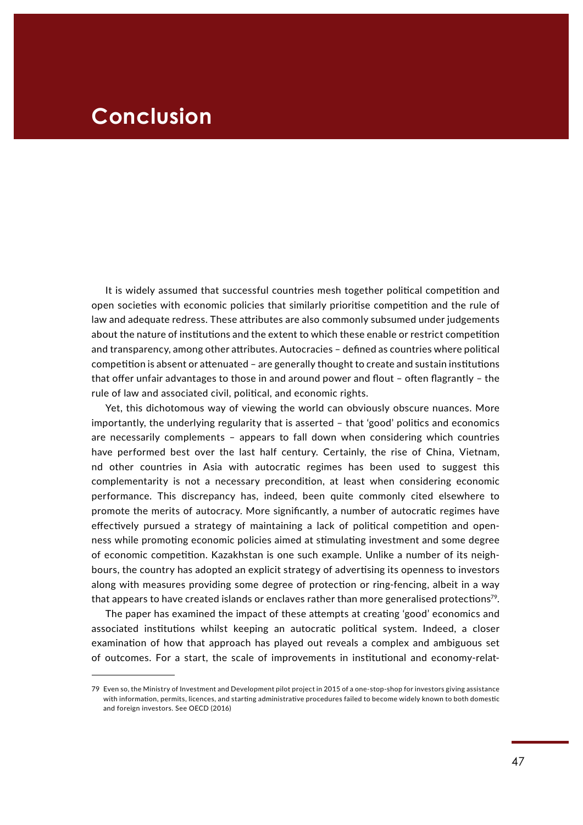## **Conclusion**

It is widely assumed that successful countries mesh together political competition and open societies with economic policies that similarly prioritise competition and the rule of law and adequate redress. These attributes are also commonly subsumed under judgements about the nature of institutions and the extent to which these enable or restrict competition and transparency, among other attributes. Autocracies – defined as countries where political competition is absent or attenuated – are generally thought to create and sustain institutions that offer unfair advantages to those in and around power and flout – often flagrantly – the rule of law and associated civil, political, and economic rights.

Yet, this dichotomous way of viewing the world can obviously obscure nuances. More importantly, the underlying regularity that is asserted – that 'good' politics and economics are necessarily complements – appears to fall down when considering which countries have performed best over the last half century. Certainly, the rise of China, Vietnam, nd other countries in Asia with autocratic regimes has been used to suggest this complementarity is not a necessary precondition, at least when considering economic performance. This discrepancy has, indeed, been quite commonly cited elsewhere to promote the merits of autocracy. More significantly, a number of autocratic regimes have effectively pursued a strategy of maintaining a lack of political competition and openness while promoting economic policies aimed at stimulating investment and some degree of economic competition. Kazakhstan is one such example. Unlike a number of its neighbours, the country has adopted an explicit strategy of advertising its openness to investors along with measures providing some degree of protection or ring-fencing, albeit in a way that appears to have created islands or enclaves rather than more generalised protections<sup>79</sup>.

The paper has examined the impact of these attempts at creating 'good' economics and associated institutions whilst keeping an autocratic political system. Indeed, a closer examination of how that approach has played out reveals a complex and ambiguous set of outcomes. For a start, the scale of improvements in institutional and economy-relat-

<sup>79</sup> Even so, the Ministry of Investment and Development pilot project in 2015 of a one-stop-shop for investors giving assistance with information, permits, licences, and starting administrative procedures failed to become widely known to both domestic and foreign investors. See OECD (2016)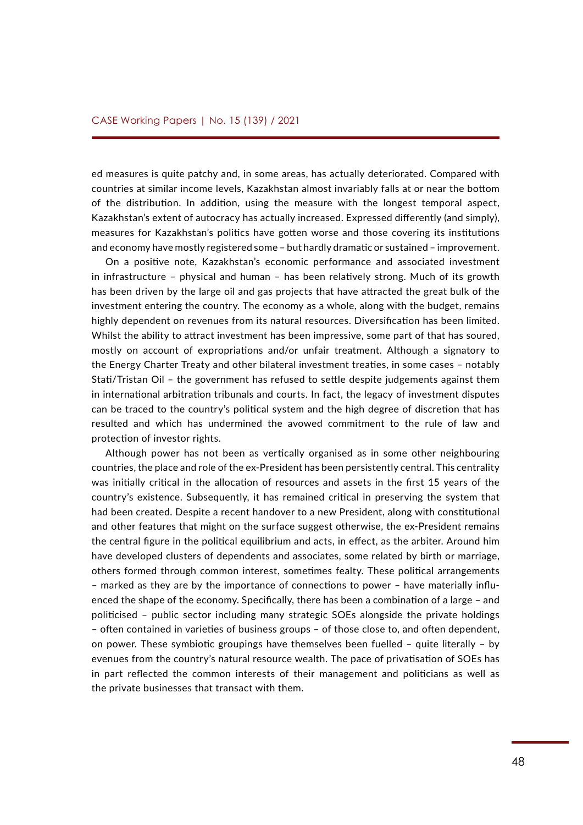ed measures is quite patchy and, in some areas, has actually deteriorated. Compared with countries at similar income levels, Kazakhstan almost invariably falls at or near the bottom of the distribution. In addition, using the measure with the longest temporal aspect, Kazakhstan's extent of autocracy has actually increased. Expressed differently (and simply), measures for Kazakhstan's politics have gotten worse and those covering its institutions and economy have mostly registered some – but hardly dramatic or sustained – improvement.

On a positive note, Kazakhstan's economic performance and associated investment in infrastructure – physical and human – has been relatively strong. Much of its growth has been driven by the large oil and gas projects that have attracted the great bulk of the investment entering the country. The economy as a whole, along with the budget, remains highly dependent on revenues from its natural resources. Diversification has been limited. Whilst the ability to attract investment has been impressive, some part of that has soured, mostly on account of expropriations and/or unfair treatment. Although a signatory to the Energy Charter Treaty and other bilateral investment treaties, in some cases – notably Stati/Tristan Oil – the government has refused to settle despite judgements against them in international arbitration tribunals and courts. In fact, the legacy of investment disputes can be traced to the country's political system and the high degree of discretion that has resulted and which has undermined the avowed commitment to the rule of law and protection of investor rights.

Although power has not been as vertically organised as in some other neighbouring countries, the place and role of the ex-President has been persistently central. This centrality was initially critical in the allocation of resources and assets in the first 15 years of the country's existence. Subsequently, it has remained critical in preserving the system that had been created. Despite a recent handover to a new President, along with constitutional and other features that might on the surface suggest otherwise, the ex-President remains the central figure in the political equilibrium and acts, in effect, as the arbiter. Around him have developed clusters of dependents and associates, some related by birth or marriage, others formed through common interest, sometimes fealty. These political arrangements – marked as they are by the importance of connections to power – have materially influenced the shape of the economy. Specifically, there has been a combination of a large – and politicised – public sector including many strategic SOEs alongside the private holdings – often contained in varieties of business groups – of those close to, and often dependent, on power. These symbiotic groupings have themselves been fuelled – quite literally – by evenues from the country's natural resource wealth. The pace of privatisation of SOEs has in part reflected the common interests of their management and politicians as well as the private businesses that transact with them.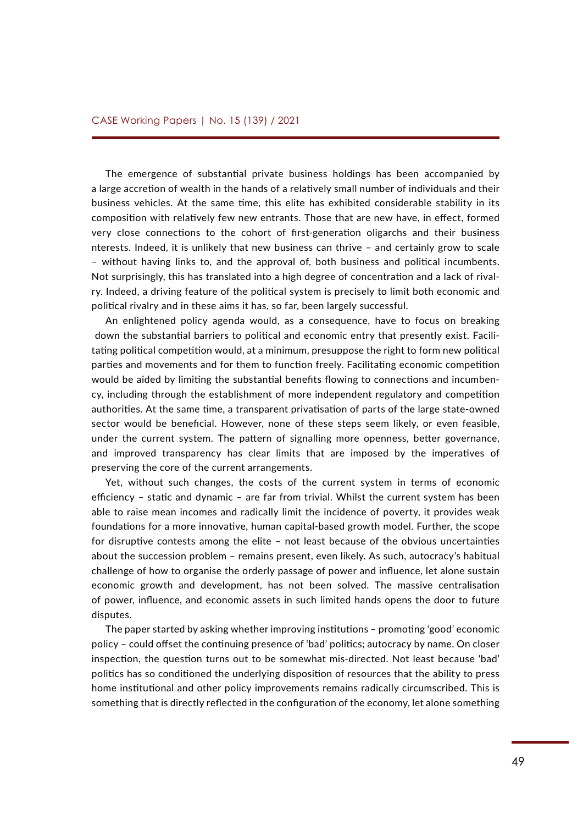The emergence of substantial private business holdings has been accompanied by a large accretion of wealth in the hands of a relatively small number of individuals and their business vehicles. At the same time, this elite has exhibited considerable stability in its composition with relatively few new entrants. Those that are new have, in effect, formed very close connections to the cohort of first-generation oligarchs and their business nterests. Indeed, it is unlikely that new business can thrive – and certainly grow to scale – without having links to, and the approval of, both business and political incumbents. Not surprisingly, this has translated into a high degree of concentration and a lack of rivalry. Indeed, a driving feature of the political system is precisely to limit both economic and political rivalry and in these aims it has, so far, been largely successful.

An enlightened policy agenda would, as a consequence, have to focus on breaking down the substantial barriers to political and economic entry that presently exist. Facilitating political competition would, at a minimum, presuppose the right to form new political parties and movements and for them to function freely. Facilitating economic competition would be aided by limiting the substantial benefits flowing to connections and incumbency, including through the establishment of more independent regulatory and competition authorities. At the same time, a transparent privatisation of parts of the large state-owned sector would be beneficial. However, none of these steps seem likely, or even feasible, under the current system. The pattern of signalling more openness, better governance, and improved transparency has clear limits that are imposed by the imperatives of preserving the core of the current arrangements.

Yet, without such changes, the costs of the current system in terms of economic efficiency – static and dynamic – are far from trivial. Whilst the current system has been able to raise mean incomes and radically limit the incidence of poverty, it provides weak foundations for a more innovative, human capital-based growth model. Further, the scope for disruptive contests among the elite – not least because of the obvious uncertainties about the succession problem – remains present, even likely. As such, autocracy's habitual challenge of how to organise the orderly passage of power and influence, let alone sustain economic growth and development, has not been solved. The massive centralisation of power, influence, and economic assets in such limited hands opens the door to future disputes.

The paper started by asking whether improving institutions – promoting 'good' economic policy – could offset the continuing presence of 'bad' politics; autocracy by name. On closer inspection, the question turns out to be somewhat mis-directed. Not least because 'bad' politics has so conditioned the underlying disposition of resources that the ability to press home institutional and other policy improvements remains radically circumscribed. This is something that is directly reflected in the configuration of the economy, let alone something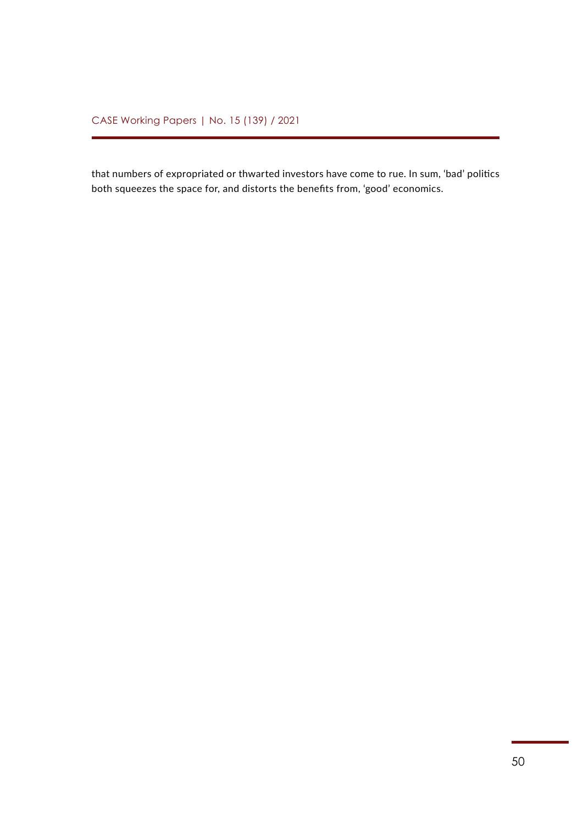that numbers of expropriated or thwarted investors have come to rue. In sum, 'bad' politics both squeezes the space for, and distorts the benefits from, 'good' economics.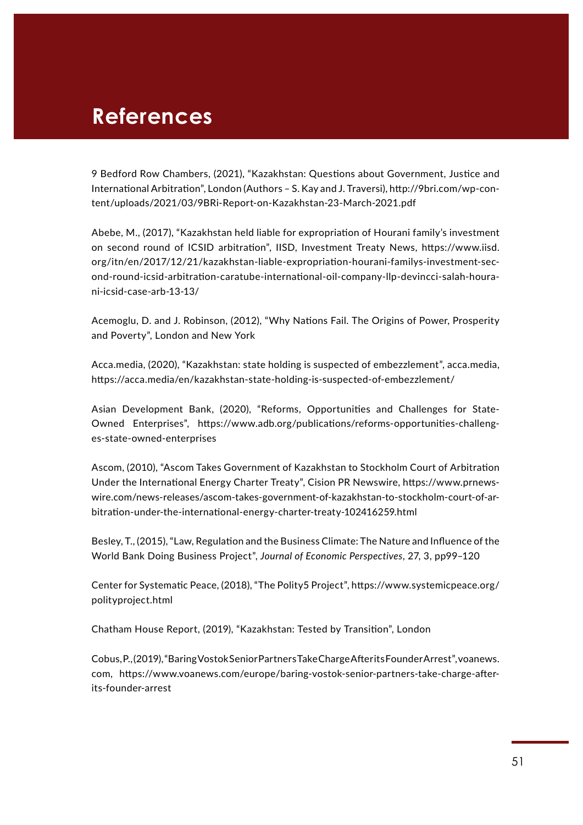## **References**

9 Bedford Row Chambers, (2021), "Kazakhstan: Questions about Government, Justice and International Arbitration", London (Authors – S. Kay and J. Traversi), [http://9bri.com/wp-con](http://9bri.com/wp-content/uploads/2021/03/9BRi-Report-on-Kazakhstan-23-March-2021.pdf)[tent/uploads/2021/03/9BRi-Report-on-Kazakhstan-23-March-2021.pdf](http://9bri.com/wp-content/uploads/2021/03/9BRi-Report-on-Kazakhstan-23-March-2021.pdf)

Abebe, M., (2017), "Kazakhstan held liable for expropriation of Hourani family's investment on second round of ICSID arbitration", IISD, Investment Treaty News, [https://www.iisd.](https://www.iisd.org/itn/en/2017/12/21/kazakhstan-liable-expropriation-hourani-familys-investment-second-round-icsid-arbitration-caratube-international-oil-company-llp-devincci-salah-hourani-icsid-case-arb-13-13/) [org/itn/en/2017/12/21/kazakhstan-liable-expropriation-hourani-familys-investment-sec](https://www.iisd.org/itn/en/2017/12/21/kazakhstan-liable-expropriation-hourani-familys-investment-second-round-icsid-arbitration-caratube-international-oil-company-llp-devincci-salah-hourani-icsid-case-arb-13-13/)[ond-round-icsid-arbitration-caratube-international-oil-company-llp-devincci-salah-houra](https://www.iisd.org/itn/en/2017/12/21/kazakhstan-liable-expropriation-hourani-familys-investment-second-round-icsid-arbitration-caratube-international-oil-company-llp-devincci-salah-hourani-icsid-case-arb-13-13/)[ni-icsid-case-arb-13-13/](https://www.iisd.org/itn/en/2017/12/21/kazakhstan-liable-expropriation-hourani-familys-investment-second-round-icsid-arbitration-caratube-international-oil-company-llp-devincci-salah-hourani-icsid-case-arb-13-13/)

Acemoglu, D. and J. Robinson, (2012), "Why Nations Fail. The Origins of Power, Prosperity and Poverty", London and New York

Acca.media, (2020), "Kazakhstan: state holding is suspected of embezzlement", acca.media, <https://acca.media/en/kazakhstan-state-holding-is-suspected-of-embezzlement/>

Asian Development Bank, (2020), "Reforms, Opportunities and Challenges for State-Owned Enterprises", [https://www.adb.org/publications/reforms-opportunities-challeng](https://www.adb.org/publications/reforms-opportunities-challenges-state-owned-enterprises)[es-state-owned-enterprises](https://www.adb.org/publications/reforms-opportunities-challenges-state-owned-enterprises)

Ascom, (2010), "Ascom Takes Government of Kazakhstan to Stockholm Court of Arbitration Under the International Energy Charter Treaty", Cision PR Newswire, [https://www.prnews](https://www.prnewswire.com/news-releases/ascom-takes-government-of-kazakhstan-to-stockholm-court-of-arbitration-under-the-international-energy-charter-treaty-102416259.html)[wire.com/news-releases/ascom-takes-government-of-kazakhstan-to-stockholm-court-of-ar](https://www.prnewswire.com/news-releases/ascom-takes-government-of-kazakhstan-to-stockholm-court-of-arbitration-under-the-international-energy-charter-treaty-102416259.html)[bitration-under-the-international-energy-charter-treaty-102416259.html](https://www.prnewswire.com/news-releases/ascom-takes-government-of-kazakhstan-to-stockholm-court-of-arbitration-under-the-international-energy-charter-treaty-102416259.html)

Besley, T., (2015), "Law, Regulation and the Business Climate: The Nature and Influence of the World Bank Doing Business Project", *Journal of Economic Perspectives*, 27, 3, pp99–120

Center for Systematic Peace, (2018), "The Polity5 Project", [https://www.systemicpeace.org/](https://www.systemicpeace.org/polityproject.html) [polityproject.html](https://www.systemicpeace.org/polityproject.html)

Chatham House Report, (2019), "Kazakhstan: Tested by Transition", London

Cobus, P., (2019), "Baring Vostok Senior Partners Take Charge After its Founder Arrest", voanews. com, [https://www.voanews.com/europe/baring-vostok-senior-partners-take-charge-after](https://www.voanews.com/europe/baring-vostok-senior-partners-take-charge-after-its-founder-arrest)[its-founder-arrest](https://www.voanews.com/europe/baring-vostok-senior-partners-take-charge-after-its-founder-arrest)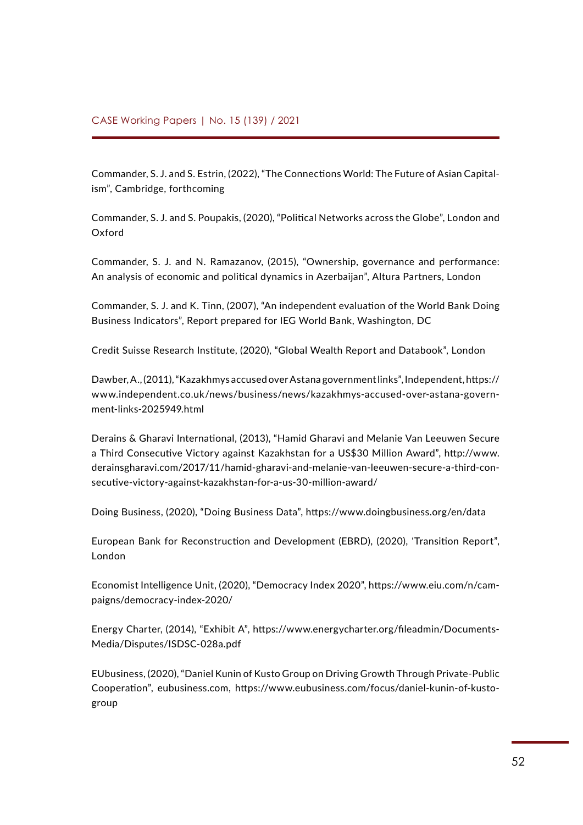Commander, S. J. and S. Estrin, (2022), "The Connections World: The Future of Asian Capitalism", Cambridge, forthcoming

Commander, S. J. and S. Poupakis, (2020), "Political Networks across the Globe", London and Oxford

Commander, S. J. and N. Ramazanov, (2015), "Ownership, governance and performance: An analysis of economic and political dynamics in Azerbaijan", Altura Partners, London

Commander, S. J. and K. Tinn, (2007), "An independent evaluation of the World Bank Doing Business Indicators", Report prepared for IEG World Bank, Washington, DC

Credit Suisse Research Institute, (2020), "Global Wealth Report and Databook", London

Dawber, A., (2011), "Kazakhmys accused over Astana government links", Independent, [https://](https://www.independent.co.uk/news/business/news/kazakhmys-accused-over-astana-government-links-2025949.html) [www.independent.co.uk/news/business/news/kazakhmys-accused-over-astana-govern](https://www.independent.co.uk/news/business/news/kazakhmys-accused-over-astana-government-links-2025949.html)[ment-links-2025949.html](https://www.independent.co.uk/news/business/news/kazakhmys-accused-over-astana-government-links-2025949.html)

Derains & Gharavi International, (2013), "Hamid Gharavi and Melanie Van Leeuwen Secure a Third Consecutive Victory against Kazakhstan for a US\$30 Million Award", [http://www.](http://www.derainsgharavi.com/2017/11/hamid-gharavi-and-melanie-van-leeuwen-secure-a-third-consecutive-victory-against-kazakhstan-for-a-us-30-million-award/) [derainsgharavi.com/2017/11/hamid-gharavi-and-melanie-van-leeuwen-secure-a-third-con](http://www.derainsgharavi.com/2017/11/hamid-gharavi-and-melanie-van-leeuwen-secure-a-third-consecutive-victory-against-kazakhstan-for-a-us-30-million-award/)[secutive-victory-against-kazakhstan-for-a-us-30-million-award/](http://www.derainsgharavi.com/2017/11/hamid-gharavi-and-melanie-van-leeuwen-secure-a-third-consecutive-victory-against-kazakhstan-for-a-us-30-million-award/)

Doing Business, (2020), "Doing Business Data",<https://www.doingbusiness.org/en/data>

European Bank for Reconstruction and Development (EBRD), (2020), 'Transition Report", London

Economist Intelligence Unit, (2020), "Democracy Index 2020", [https://www.eiu.com/n/cam](https://www.eiu.com/n/campaigns/democracy-index-2020/)[paigns/democracy-index-2020/](https://www.eiu.com/n/campaigns/democracy-index-2020/)

Energy Charter, (2014), "Exhibit A", [https://www.energycharter.org/fileadmin/Documents-](https://www.energycharter.org/fileadmin/DocumentsMedia/Disputes/ISDSC-028a.pdf)[Media/Disputes/ISDSC-028a.pdf](https://www.energycharter.org/fileadmin/DocumentsMedia/Disputes/ISDSC-028a.pdf)

EUbusiness, (2020), "Daniel Kunin of Kusto Group on Driving Growth Through Private-Public Cooperation", eubusiness.com, [https://www.eubusiness.com/focus/daniel-kunin-of-kusto](https://www.eubusiness.com/focus/daniel-kunin-of-kusto-group)[group](https://www.eubusiness.com/focus/daniel-kunin-of-kusto-group)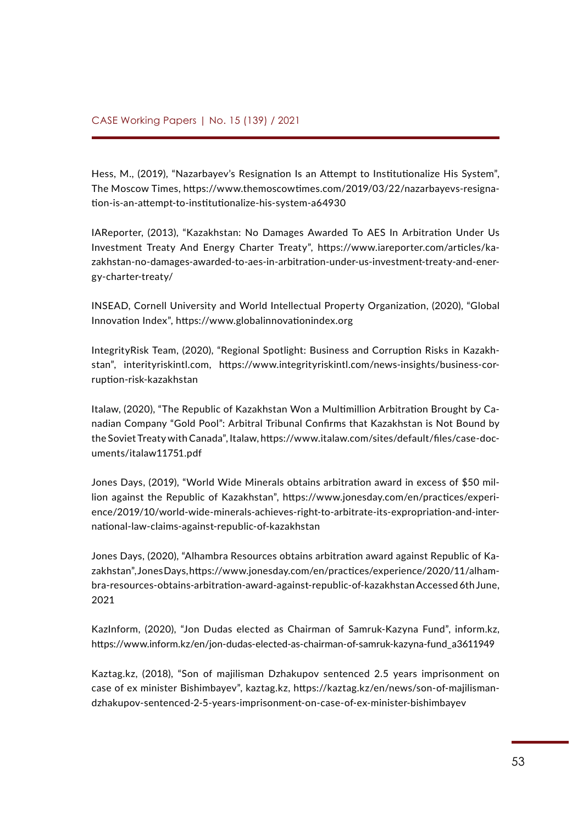Hess, M., (2019), "Nazarbayev's Resignation Is an Attempt to Institutionalize His System", The Moscow Times, [https://www.themoscowtimes.com/2019/03/22/nazarbayevs-resigna](https://www.themoscowtimes.com/2019/03/22/nazarbayevs-resignation-is-an-attempt-to-institutionalize-his-system-a64930)[tion-is-an-attempt-to-institutionalize-his-system-a64930](https://www.themoscowtimes.com/2019/03/22/nazarbayevs-resignation-is-an-attempt-to-institutionalize-his-system-a64930)

IAReporter, (2013), "Kazakhstan: No Damages Awarded To AES In Arbitration Under Us Investment Treaty And Energy Charter Treaty", [https://www.iareporter.com/articles/ka](https://www.iareporter.com/articles/kazakhstan-no-damages-awarded-to-aes-in-arbitration-under-us-investment-treaty-and-energy-charter-treaty/)[zakhstan-no-damages-awarded-to-aes-in-arbitration-under-us-investment-treaty-and-ener](https://www.iareporter.com/articles/kazakhstan-no-damages-awarded-to-aes-in-arbitration-under-us-investment-treaty-and-energy-charter-treaty/)[gy-charter-treaty/](https://www.iareporter.com/articles/kazakhstan-no-damages-awarded-to-aes-in-arbitration-under-us-investment-treaty-and-energy-charter-treaty/)

INSEAD, Cornell University and World Intellectual Property Organization, (2020), "Global Innovation Index", <https://www.globalinnovationindex.org>

IntegrityRisk Team, (2020), "Regional Spotlight: Business and Corruption Risks in Kazakhstan", interityriskintl.com, [https://www.integrityriskintl.com/news-insights/business-cor](https://www.integrityriskintl.com/news-insights/business-corruption-risk-kazakhstan)[ruption-risk-kazakhstan](https://www.integrityriskintl.com/news-insights/business-corruption-risk-kazakhstan)

Italaw, (2020), "The Republic of Kazakhstan Won a Multimillion Arbitration Brought by Canadian Company "Gold Pool": Arbitral Tribunal Confirms that Kazakhstan is Not Bound by the Soviet Treaty with Canada", Italaw, [https://www.italaw.com/sites/default/files/case-doc](https://www.italaw.com/sites/default/files/case-documents/italaw11751.pdf)[uments/italaw11751.pdf](https://www.italaw.com/sites/default/files/case-documents/italaw11751.pdf)

Jones Days, (2019), "World Wide Minerals obtains arbitration award in excess of \$50 million against the Republic of Kazakhstan", [https://www.jonesday.com/en/practices/experi](https://www.jonesday.com/en/practices/experience/2019/10/world-wide-minerals-achieves-right-to-arbitrate-its-expropriation-and-international-law-claims-against-republic-of-kazakhstan)[ence/2019/10/world-wide-minerals-achieves-right-to-arbitrate-its-expropriation-and-inter](https://www.jonesday.com/en/practices/experience/2019/10/world-wide-minerals-achieves-right-to-arbitrate-its-expropriation-and-international-law-claims-against-republic-of-kazakhstan)[national-law-claims-against-republic-of-kazakhstan](https://www.jonesday.com/en/practices/experience/2019/10/world-wide-minerals-achieves-right-to-arbitrate-its-expropriation-and-international-law-claims-against-republic-of-kazakhstan)

Jones Days, (2020), "Alhambra Resources obtains arbitration award against Republic of Kazakhstan", Jones Days, [https://www.jonesday.com/en/practices/experience/2020/11/alham](https://www.jonesday.com/en/practices/experience/2020/11/alhambra-resources-obtains-arbitration-award-against-republic-of-kazakhstan)[bra-resources-obtains-arbitration-award-against-republic-of-kazakhstan](https://www.jonesday.com/en/practices/experience/2020/11/alhambra-resources-obtains-arbitration-award-against-republic-of-kazakhstan) Accessed 6th June, 2021

KazInform, (2020), "Jon Dudas elected as Chairman of Samruk-Kazyna Fund", inform.kz, [https://www.inform.kz/en/jon-dudas-elected-as-chairman-of-samruk-kazyna-fund\\_a3611949](https://www.inform.kz/en/jon-dudas-elected-as-chairman-of-samruk-kazyna-fund_a3611949)

Kaztag.kz, (2018), "Son of majilisman Dzhakupov sentenced 2.5 years imprisonment on case of ex minister Bishimbayev", kaztag.kz, [https://kaztag.kz/en/news/son-of-majilisman](https://kaztag.kz/en/news/son-of-majilisman-dzhakupov-sentenced-2-5-years-imprisonment-on-case-of-ex-minister-bishimbayev)[dzhakupov-sentenced-2-5-years-imprisonment-on-case-of-ex-minister-bishimbayev](https://kaztag.kz/en/news/son-of-majilisman-dzhakupov-sentenced-2-5-years-imprisonment-on-case-of-ex-minister-bishimbayev)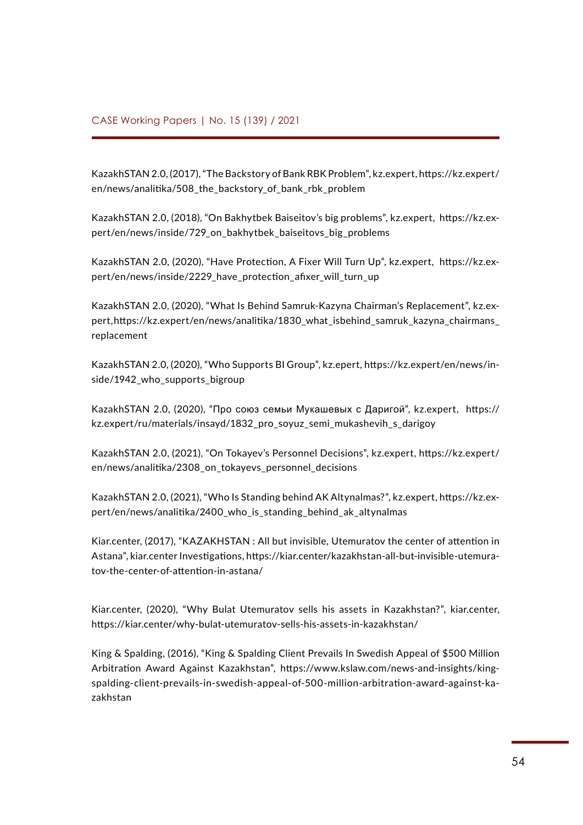KazakhSTAN 2.0, (2017), "The Backstory of Bank RBK Problem", kz.expert, [https://kz.expert/](https://kz.expert/en/news/analitika/508_the_backstory_of_bank_rbk_problem) [en/news/analitika/508\\_the\\_backstory\\_of\\_bank\\_rbk\\_problem](https://kz.expert/en/news/analitika/508_the_backstory_of_bank_rbk_problem)

KazakhSTAN 2.0, (2018), "On Bakhytbek Baiseitov's big problems", kz.expert, [https://kz.ex](https://kz.expert/en/news/inside/729_on_bakhytbek_baiseitovs_big_problems)[pert/en/news/inside/729\\_on\\_bakhytbek\\_baiseitovs\\_big\\_problems](https://kz.expert/en/news/inside/729_on_bakhytbek_baiseitovs_big_problems)

KazakhSTAN 2.0, (2020), "Have Protection, A Fixer Will Turn Up", kz.expert, [https://kz.ex](https://kz.expert/en/news/inside/2229_have_protection_afixer_will_turn_up)pert/en/news/inside/2229 have protection afixer will turn up

KazakhSTAN 2.0, (2020), "What Is Behind Samruk-Kazyna Chairman's Replacement", kz.expert, [https://kz.expert/en/news/analitika/1830\\_what\\_isbehind\\_samruk\\_kazyna\\_chairmans\\_](https://kz.expert/en/news/analitika/1830_what_isbehind_samruk_kazyna_chairmans_replacement) [replacement](https://kz.expert/en/news/analitika/1830_what_isbehind_samruk_kazyna_chairmans_replacement)

KazakhSTAN 2.0, (2020), "Who Supports BI Group", kz.epert, [https://kz.expert/en/news/in](https://kz.expert/en/news/inside/1942_who_supports_bigroup)[side/1942\\_who\\_supports\\_bigroup](https://kz.expert/en/news/inside/1942_who_supports_bigroup)

KazakhSTAN 2.0, (2020), "Про союз семьи Мукашевых с Даригой", kz.expert, [https://](https://kz.expert/ru/materials/insayd/1832_pro_soyuz_semi_mukashevih_s_darigoy) [kz.expert/ru/materials/insayd/1832\\_pro\\_soyuz\\_semi\\_mukashevih\\_s\\_darigoy](https://kz.expert/ru/materials/insayd/1832_pro_soyuz_semi_mukashevih_s_darigoy)

KazakhSTAN 2.0, (2021), "On Tokayev's Personnel Decisions", kz.expert, [https://kz.expert/](https://kz.expert/en/news/analitika/2308_on_tokayevs_personnel_decisions) [en/news/analitika/2308\\_on\\_tokayevs\\_personnel\\_decisions](https://kz.expert/en/news/analitika/2308_on_tokayevs_personnel_decisions)

KazakhSTAN 2.0, (2021), "Who Is Standing behind AK Altynalmas?", kz.expert, [https://kz.ex](https://kz.expert/en/news/analitika/2400_who_is_standing_behind_ak_altynalmas)[pert/en/news/analitika/2400\\_who\\_is\\_standing\\_behind\\_ak\\_altynalmas](https://kz.expert/en/news/analitika/2400_who_is_standing_behind_ak_altynalmas)

Kiar.center, (2017), "KAZAKHSTAN : All but invisible, Utemuratov the center of attention in Astana", kiar.center Investigations, [https://kiar.center/kazakhstan-all-but-invisible-utemura](https://kiar.center/kazakhstan-all-but-invisible-utemuratov-the-center-of-attention-in-astana/)[tov-the-center-of-attention-in-astana/](https://kiar.center/kazakhstan-all-but-invisible-utemuratov-the-center-of-attention-in-astana/)

Kiar.center, (2020), "Why Bulat Utemuratov sells his assets in Kazakhstan?", kiar.center, <https://kiar.center/why-bulat-utemuratov-sells-his-assets-in-kazakhstan/>

King & Spalding, (2016), "King & Spalding Client Prevails In Swedish Appeal of \$500 Million Arbitration Award Against Kazakhstan", [https://www.kslaw.com/news-and-insights/king](https://www.kslaw.com/news-and-insights/king-spalding-client-prevails-in-swedish-appeal-of-500-million-arbitration-award-against-kazakhstan)[spalding-client-prevails-in-swedish-appeal-of-500-million-arbitration-award-against-ka](https://www.kslaw.com/news-and-insights/king-spalding-client-prevails-in-swedish-appeal-of-500-million-arbitration-award-against-kazakhstan)[zakhstan](https://www.kslaw.com/news-and-insights/king-spalding-client-prevails-in-swedish-appeal-of-500-million-arbitration-award-against-kazakhstan)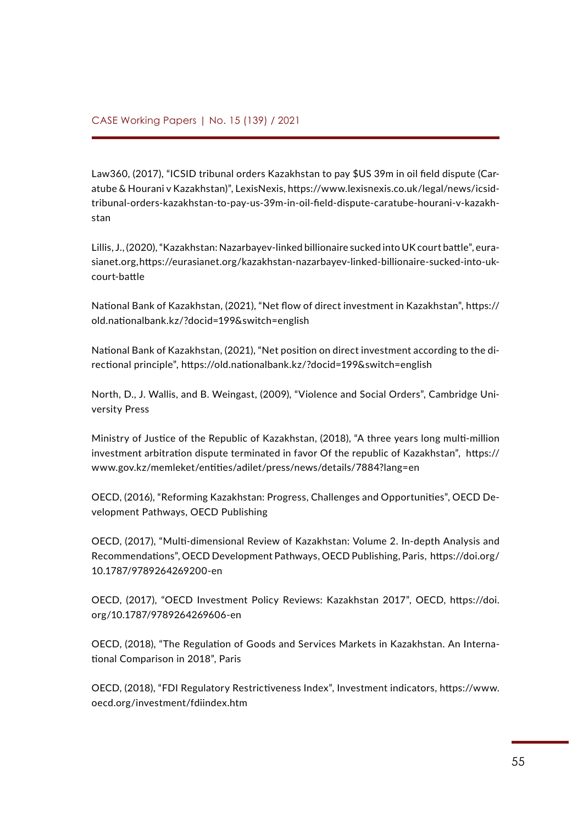Law360, (2017), "ICSID tribunal orders Kazakhstan to pay \$US 39m in oil field dispute (Caratube & Hourani v Kazakhstan)", LexisNexis, [https://www.lexisnexis.co.uk/legal/news/icsid](https://www.lexisnexis.co.uk/legal/news/icsid-tribunal-orders-kazakhstan-to-pay-us-39m-in-oil-field-dispute-caratube-hourani-v-kazakhstan)[tribunal-orders-kazakhstan-to-pay-us-39m-in-oil-field-dispute-caratube-hourani-v-kazakh](https://www.lexisnexis.co.uk/legal/news/icsid-tribunal-orders-kazakhstan-to-pay-us-39m-in-oil-field-dispute-caratube-hourani-v-kazakhstan)[stan](https://www.lexisnexis.co.uk/legal/news/icsid-tribunal-orders-kazakhstan-to-pay-us-39m-in-oil-field-dispute-caratube-hourani-v-kazakhstan)

Lillis, J., (2020), "Kazakhstan: Nazarbayev-linked billionaire sucked into UK court battle", eurasianet.org, [https://eurasianet.org/kazakhstan-nazarbayev-linked-billionaire-sucked-into-uk](https://eurasianet.org/kazakhstan-nazarbayev-linked-billionaire-sucked-into-uk-court-battle)[court-battle](https://eurasianet.org/kazakhstan-nazarbayev-linked-billionaire-sucked-into-uk-court-battle)

National Bank of Kazakhstan, (2021), "Net flow of direct investment in Kazakhstan", [https://](https://old.nationalbank.kz/?docid=199&switch=english) [old.nationalbank.kz/?docid=199&switch=english](https://old.nationalbank.kz/?docid=199&switch=english)

National Bank of Kazakhstan, (2021), "Net position on direct investment according to the directional principle",<https://old.nationalbank.kz/?docid=199&switch=english>

North, D., J. Wallis, and B. Weingast, (2009), "Violence and Social Orders", Cambridge University Press

Ministry of Justice of the Republic of Kazakhstan, (2018), "A three years long multi-million investment arbitration dispute terminated in favor Of the republic of Kazakhstan", [https://](https://www.gov.kz/memleket/entities/adilet/press/news/details/7884?lang=en) [www.gov.kz/memleket/entities/adilet/press/news/details/7884?lang=en](https://www.gov.kz/memleket/entities/adilet/press/news/details/7884?lang=en)

OECD, (2016), "Reforming Kazakhstan: Progress, Challenges and Opportunities", OECD Development Pathways, OECD Publishing

OECD, (2017), "Multi-dimensional Review of Kazakhstan: Volume 2. In-depth Analysis and Recommendations", OECD Development Pathways, OECD Publishing, Paris, [https://doi.org/](https://doi.org/10.1787/9789264269200-en) [10.1787/9789264269200-en](https://doi.org/10.1787/9789264269200-en)

OECD, (2017), "OECD Investment Policy Reviews: Kazakhstan 2017", OECD, [https://doi.](https://doi.org/10.1787/9789264269606-en) [org/10.1787/9789264269606-en](https://doi.org/10.1787/9789264269606-en)

OECD, (2018), "The Regulation of Goods and Services Markets in Kazakhstan. An International Comparison in 2018", Paris

OECD, (2018), "FDI Regulatory Restrictiveness Index", Investment indicators, [https://www.](https://www.oecd.org/investment/fdiindex.htm) [oecd.org/investment/fdiindex.htm](https://www.oecd.org/investment/fdiindex.htm)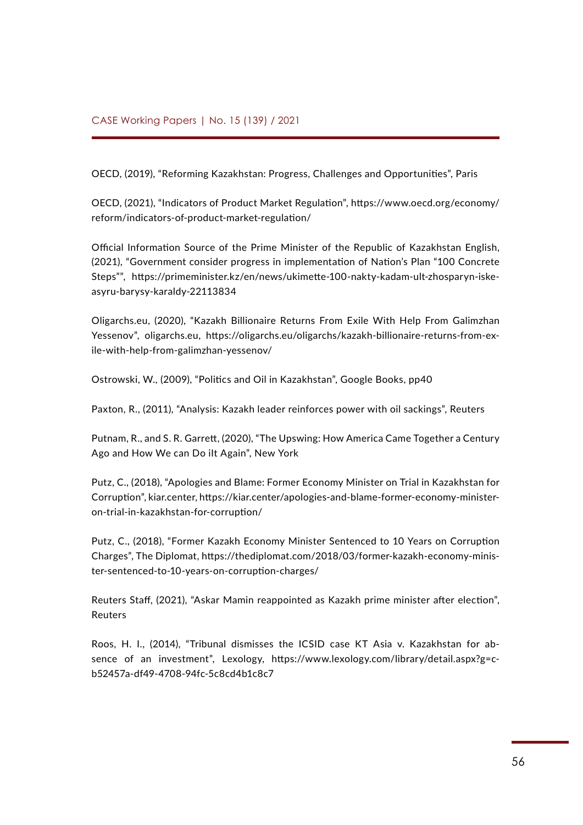OECD, (2019), "Reforming Kazakhstan: Progress, Challenges and Opportunities", Paris

OECD, (2021), "Indicators of Product Market Regulation", [https://www.oecd.org/economy/](https://www.oecd.org/economy/reform/indicators-of-product-market-regulation/) [reform/indicators-of-product-market-regulation/](https://www.oecd.org/economy/reform/indicators-of-product-market-regulation/)

Official Information Source of the Prime Minister of the Republic of Kazakhstan English, (2021), "Government consider progress in implementation of Nation's Plan "100 Concrete Steps"", [https://primeminister.kz/en/news/ukimette-100-nakty-kadam-ult-zhosparyn-iske](https://primeminister.kz/en/news/ukimette-100-nakty-kadam-ult-zhosparyn-iske-asyru-barysy-karaldy-22113834)[asyru-barysy-karaldy-22113834](https://primeminister.kz/en/news/ukimette-100-nakty-kadam-ult-zhosparyn-iske-asyru-barysy-karaldy-22113834)

Oligarchs.eu, (2020), "[Kazakh Billionaire Returns From Exile With Help From Galimzhan](https://oligarchs.eu/oligarchs/kazakh-billionaire-returns-from-exile-with-help-from-galimzhan-yessenov/) [Yessenov"](https://oligarchs.eu/oligarchs/kazakh-billionaire-returns-from-exile-with-help-from-galimzhan-yessenov/), oligarchs.eu, [https://oligarchs.eu/oligarchs/kazakh-billionaire-returns-from-ex](https://oligarchs.eu/oligarchs/kazakh-billionaire-returns-from-exile-with-help-from-galimzhan-yessenov/)[ile-with-help-from-galimzhan-yessenov/](https://oligarchs.eu/oligarchs/kazakh-billionaire-returns-from-exile-with-help-from-galimzhan-yessenov/)

Ostrowski, W., (2009), "Politics and Oil in Kazakhstan", Google Books, pp40

Paxton, R., (2011), "Analysis: Kazakh leader reinforces power with oil sackings", Reuters

Putnam, R., and S. R. Garrett, (2020), "The Upswing: How America Came Together a Century Ago and How We can Do iIt Again", New York

Putz, C., (2018), "Apologies and Blame: Former Economy Minister on Trial in Kazakhstan for Corruption", kiar.center, [https://kiar.center/apologies-and-blame-former-economy-minister](https://kiar.center/apologies-and-blame-former-economy-minister-on-trial-in-kazakhstan-for-corruption/)[on-trial-in-kazakhstan-for-corruption/](https://kiar.center/apologies-and-blame-former-economy-minister-on-trial-in-kazakhstan-for-corruption/)

Putz, C., (2018), "Former Kazakh Economy Minister Sentenced to 10 Years on Corruption Charges", The Diplomat, [https://thediplomat.com/2018/03/former-kazakh-economy-minis](https://thediplomat.com/2018/03/former-kazakh-economy-minister-sentenced-to-10-years-on-corruption-charges/)[ter-sentenced-to-10-years-on-corruption-charges/](https://thediplomat.com/2018/03/former-kazakh-economy-minister-sentenced-to-10-years-on-corruption-charges/)

Reuters Staff, (2021), "Askar Mamin reappointed as Kazakh prime minister after election", Reuters

Roos, H. I., (2014), "Tribunal dismisses the ICSID case KT Asia v. Kazakhstan for absence of an investment", Lexology, [https://www.lexology.com/library/detail.aspx?g=c](https://www.lexology.com/library/detail.aspx?g=cb52457a-df49-4708-94fc-5c8cd4b1c8c7)[b52457a-df49-4708-94fc-5c8cd4b1c8c7](https://www.lexology.com/library/detail.aspx?g=cb52457a-df49-4708-94fc-5c8cd4b1c8c7)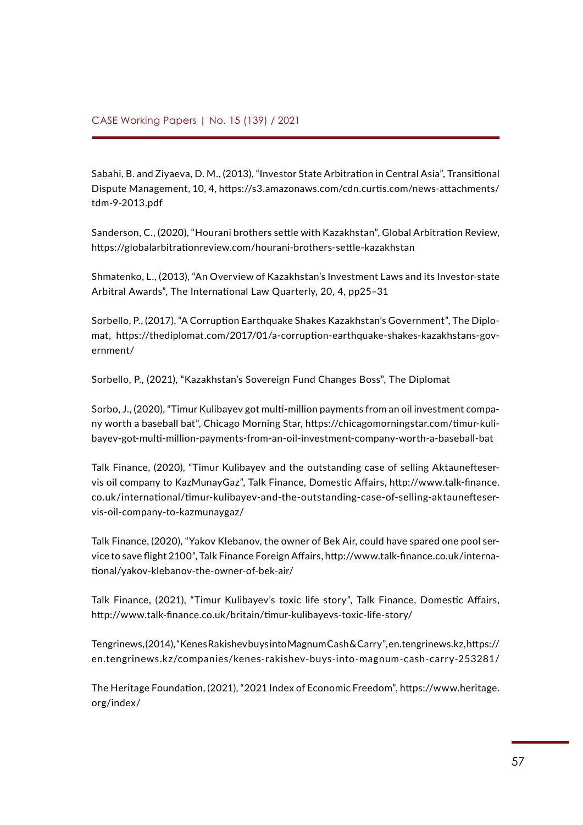Sabahi, B. and Ziyaeva, D. M., (2013), "Investor State Arbitration in Central Asia", Transitional Dispute Management, 10, 4, [https://s3.amazonaws.com/cdn.curtis.com/news-attachments/](https://s3.amazonaws.com/cdn.curtis.com/news-attachments/tdm-9-2013.pdf) [tdm-9-2013.pdf](https://s3.amazonaws.com/cdn.curtis.com/news-attachments/tdm-9-2013.pdf)

Sanderson, C., (2020), "Hourani brothers settle with Kazakhstan", Global Arbitration Review, <https://globalarbitrationreview.com/hourani-brothers-settle-kazakhstan>

Shmatenko, L., (2013), "An Overview of Kazakhstan's Investment Laws and its Investor-state Arbitral Awards", The International Law Quarterly, 20, 4, pp25–31

Sorbello, P., (2017), "A Corruption Earthquake Shakes Kazakhstan's Government", The Diplomat, [https://thediplomat.com/2017/01/a-corruption-earthquake-shakes-kazakhstans-gov](https://thediplomat.com/2017/01/a-corruption-earthquake-shakes-kazakhstans-government/)[ernment/](https://thediplomat.com/2017/01/a-corruption-earthquake-shakes-kazakhstans-government/)

Sorbello, P., (2021), "Kazakhstan's Sovereign Fund Changes Boss", The Diplomat

Sorbo, J., (2020), "Timur Kulibayev got multi-million payments from an oil investment company worth a baseball bat", Chicago Morning Star, [https://chicagomorningstar.com/timur-kuli](https://chicagomorningstar.com/timur-kulibayev-got-multi-million-payments-from-an-oil-investment-company-worth-a-baseball-bat)[bayev-got-multi-million-payments-from-an-oil-investment-company-worth-a-baseball-bat](https://chicagomorningstar.com/timur-kulibayev-got-multi-million-payments-from-an-oil-investment-company-worth-a-baseball-bat)

Talk Finance, (2020), "Timur Kulibayev and the outstanding case of selling Aktaunefteservis oil company to KazMunayGaz", Talk Finance, Domestic Affairs, [http://www.talk-finance.](http://www.talk-finance.co.uk/international/timur-kulibayev-and-the-outstanding-case-of-selling-aktaunefteservis-oil-company-to-kazmunaygaz/) [co.uk/international/timur-kulibayev-and-the-outstanding-case-of-selling-aktaunefteser](http://www.talk-finance.co.uk/international/timur-kulibayev-and-the-outstanding-case-of-selling-aktaunefteservis-oil-company-to-kazmunaygaz/)[vis-oil-company-to-kazmunaygaz/](http://www.talk-finance.co.uk/international/timur-kulibayev-and-the-outstanding-case-of-selling-aktaunefteservis-oil-company-to-kazmunaygaz/)

Talk Finance, (2020), "Yakov Klebanov, the owner of Bek Air, could have spared one pool service to save flight 2100", Talk Finance Foreign Affairs, [http://www.talk-finance.co.uk/interna](http://www.talk-finance.co.uk/international/yakov-klebanov-the-owner-of-bek-air/)[tional/yakov-klebanov-the-owner-of-bek-air/](http://www.talk-finance.co.uk/international/yakov-klebanov-the-owner-of-bek-air/)

Talk Finance, (2021), "Timur Kulibayev's toxic life story", Talk Finance, Domestic Affairs, <http://www.talk-finance.co.uk/britain/timur-kulibayevs-toxic-life-story/>

Tengrinews, (2014), "Kenes Rakishev buys into Magnum Cash & Carry", en.tengrinews.kz, [https://](https://en.tengrinews.kz/companies/kenes-rakishev-buys-into-magnum-cash-carry-253281/) [en.tengrinews.kz/companies/kenes-rakishev-buys-into-magnum-cash-carry-253281/](https://en.tengrinews.kz/companies/kenes-rakishev-buys-into-magnum-cash-carry-253281/)

The Heritage Foundation, (2021), "2021 Index of Economic Freedom", [https://www.heritage.](https://www.heritage.org/index/) [org/index/](https://www.heritage.org/index/)